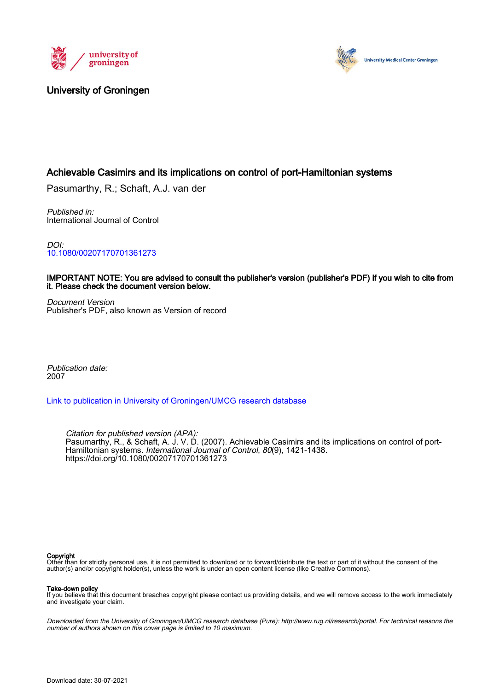





## Achievable Casimirs and its implications on control of port-Hamiltonian systems

Pasumarthy, R.; Schaft, A.J. van der

Published in: International Journal of Control

DOI: 10.1080/00207170701361273

## IMPORTANT NOTE: You are advised to consult the publisher's version (publisher's PDF) if you wish to cite from it. Please check the document version below.

Document Version Publisher's PDF, also known as Version of record

Publication date: 2007

Link to publication in University of Groningen/UMCG research database

Citation for published version (APA): Pasumarthy, R., & Schaft, A. J. V. D. (2007). Achievable Casimirs and its implications on control of port-Hamiltonian systems. International Journal of Control, 80(9), 1421-1438. https://doi.org/10.1080/00207170701361273

## Copyright

Other than for strictly personal use, it is not permitted to download or to forward/distribute the text or part of it without the consent of the author(s) and/or copyright holder(s), unless the work is under an open content license (like Creative Commons).

#### Take-down policy

If you believe that this document breaches copyright please contact us providing details, and we will remove access to the work immediately and investigate your claim.

Downloaded from the University of Groningen/UMCG research database (Pure): http://www.rug.nl/research/portal. For technical reasons the number of authors shown on this cover page is limited to 10 maximum.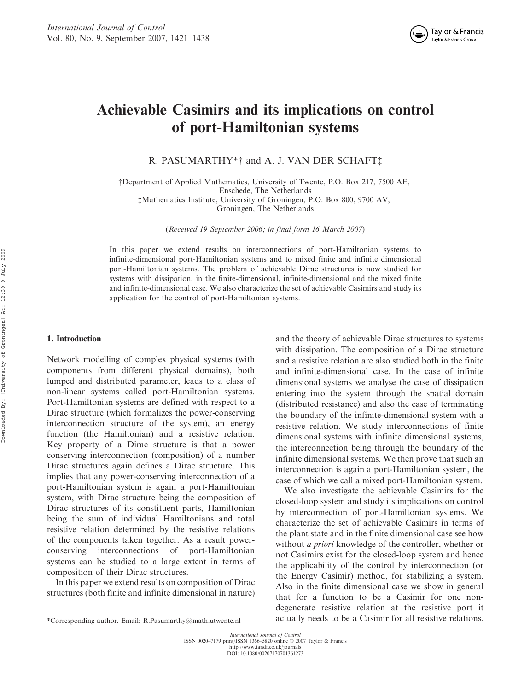

# Achievable Casimirs and its implications on control of port-Hamiltonian systems

R. PASUMARTHY\*† and A. J. VAN DER SCHAFT:

<sup>†</sup>Department of Applied Mathematics, University of Twente, P.O. Box 217, 7500 AE, Enschede, The Netherlands zMathematics Institute, University of Groningen, P.O. Box 800, 9700 AV, Groningen, The Netherlands

(Received 19 September 2006; in final form 16 March 2007)

In this paper we extend results on interconnections of port-Hamiltonian systems to infinite-dimensional port-Hamiltonian systems and to mixed finite and infinite dimensional port-Hamiltonian systems. The problem of achievable Dirac structures is now studied for systems with dissipation, in the finite-dimensional, infinite-dimensional and the mixed finite and infinite-dimensional case. We also characterize the set of achievable Casimirs and study its application for the control of port-Hamiltonian systems.

#### 1. Introduction

Network modelling of complex physical systems (with components from different physical domains), both lumped and distributed parameter, leads to a class of non-linear systems called port-Hamiltonian systems. Port-Hamiltonian systems are defined with respect to a Dirac structure (which formalizes the power-conserving interconnection structure of the system), an energy function (the Hamiltonian) and a resistive relation. Key property of a Dirac structure is that a power conserving interconnection (composition) of a number Dirac structures again defines a Dirac structure. This implies that any power-conserving interconnection of a port-Hamiltonian system is again a port-Hamiltonian system, with Dirac structure being the composition of Dirac structures of its constituent parts, Hamiltonian being the sum of individual Hamiltonians and total resistive relation determined by the resistive relations of the components taken together. As a result powerconserving interconnections of port-Hamiltonian systems can be studied to a large extent in terms of composition of their Dirac structures.

In this paper we extend results on composition of Dirac structures (both finite and infinite dimensional in nature) and the theory of achievable Dirac structures to systems with dissipation. The composition of a Dirac structure and a resistive relation are also studied both in the finite and infinite-dimensional case. In the case of infinite dimensional systems we analyse the case of dissipation entering into the system through the spatial domain (distributed resistance) and also the case of terminating the boundary of the infinite-dimensional system with a resistive relation. We study interconnections of finite dimensional systems with infinite dimensional systems, the interconnection being through the boundary of the infinite dimensional systems. We then prove that such an interconnection is again a port-Hamiltonian system, the case of which we call a mixed port-Hamiltonian system.

We also investigate the achievable Casimirs for the closed-loop system and study its implications on control by interconnection of port-Hamiltonian systems. We characterize the set of achievable Casimirs in terms of the plant state and in the finite dimensional case see how without *a priori* knowledge of the controller, whether or not Casimirs exist for the closed-loop system and hence the applicability of the control by interconnection (or the Energy Casimir) method, for stabilizing a system. Also in the finite dimensional case we show in general that for a function to be a Casimir for one nondegenerate resistive relation at the resistive port it \*Corresponding author. Email: R.Pasumarthy@math.utwente.nl actually needs to be a Casimir for all resistive relations.

2009

International Journal of Control ISSN 0020–7179 print/ISSN 1366–5820 online ß 2007 Taylor & Francis

http://www.tandf.co.uk/journals

DOI: 10.1080/00207170701361273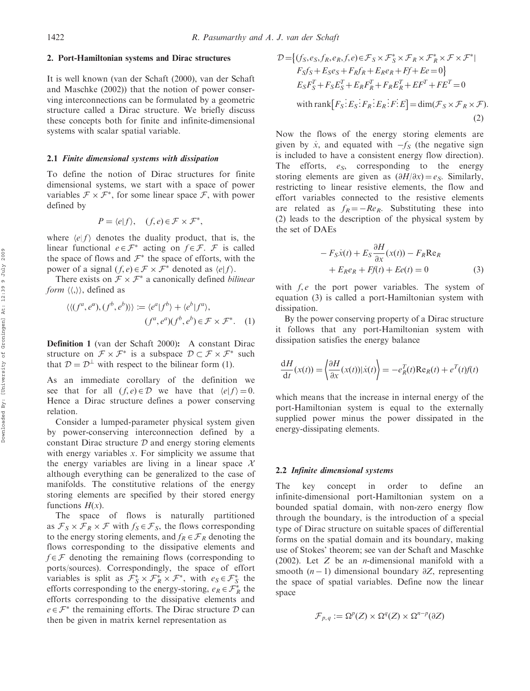#### 2. Port-Hamiltonian systems and Dirac structures

It is well known (van der Schaft (2000), van der Schaft and Maschke (2002)) that the notion of power conserving interconnections can be formulated by a geometric structure called a Dirac structure. We briefly discuss these concepts both for finite and infinite-dimensional systems with scalar spatial variable.

#### 2.1 Finite dimensional systems with dissipation

To define the notion of Dirac structures for finite dimensional systems, we start with a space of power variables  $\mathcal{F} \times \mathcal{F}^*$ , for some linear space  $\mathcal{F}$ , with power defined by

$$
P = \langle e | f \rangle, \quad (f, e) \in \mathcal{F} \times \mathcal{F}^*,
$$

where  $\langle e| f \rangle$  denotes the duality product, that is, the linear functional  $e \in \mathcal{F}^*$  acting on  $f \in \mathcal{F}$ .  $\mathcal{F}$  is called the space of flows and  $\mathcal{F}^*$  the space of efforts, with the power of a signal  $(f, e) \in \mathcal{F} \times \mathcal{F}^*$  denoted as  $\langle e | f \rangle$ .

There exists on  $\mathcal{F} \times \mathcal{F}^*$  a canonically defined *bilinear form*  $\langle \langle , \rangle \rangle$ , defined as

$$
\langle \langle (f^a, e^{\alpha}), (f^b, e^b) \rangle \rangle := \langle e^a | f^b \rangle + \langle e^b | f^a \rangle, (f^a, e^a)(f^b, e^b) \in \mathcal{F} \times \mathcal{F}^*.
$$
 (1)

Definition 1 (van der Schaft 2000): A constant Dirac structure on  $\mathcal{F} \times \mathcal{F}^*$  is a subspace  $\mathcal{D} \subset \mathcal{F} \times \mathcal{F}^*$  such that  $D = D^{\perp}$  with respect to the bilinear form (1).

As an immediate corollary of the definition we see that for all  $(f, e) \in \mathcal{D}$  we have that  $\langle e | f \rangle = 0$ . Hence a Dirac structure defines a power conserving relation.

Consider a lumped-parameter physical system given by power-conserving interconnection defined by a constant Dirac structure  $D$  and energy storing elements with energy variables x. For simplicity we assume that the energy variables are living in a linear space  $\chi$ although everything can be generalized to the case of manifolds. The constitutive relations of the energy storing elements are specified by their stored energy functions  $H(x)$ .

The space of flows is naturally partitioned as  $\mathcal{F}_S \times \mathcal{F}_R \times \mathcal{F}$  with  $f_S \in \mathcal{F}_S$ , the flows corresponding to the energy storing elements, and  $f_R \in \mathcal{F}_R$  denoting the flows corresponding to the dissipative elements and  $f \in \mathcal{F}$  denoting the remaining flows (corresponding to ports/sources). Correspondingly, the space of effort variables is split as  $\mathcal{F}_S^* \times \mathcal{F}_R^* \times \mathcal{F}^*$ , with  $e_S \in \mathcal{F}_S^*$  the efforts corresponding to the energy-storing,  $e_R \in \mathcal{F}_R^*$  the efforts corresponding to the dissipative elements and  $e \in \mathcal{F}^*$  the remaining efforts. The Dirac structure  $\mathcal D$  can then be given in matrix kernel representation as

$$
\mathcal{D} = \{ (f_S, e_S, f_R, e_R, f, e) \in \mathcal{F}_S \times \mathcal{F}_S^* \times \mathcal{F}_R \times \mathcal{F}_R^* \times \mathcal{F} \times \mathcal{F}^* |
$$
  
\n
$$
F_S f_S + E_S e_S + F_R f_R + E_R e_R + F_f + E e = 0 \}
$$
  
\n
$$
E_S F_S^T + F_S E_S^T + E_R F_R^T + F_R E_R^T + E F^T + F E^T = 0
$$
  
\nwith rank  $[F_S : E_S : F_R : E_R : F : E] = \dim(\mathcal{F}_S \times \mathcal{F}_R \times \mathcal{F}).$  (2)

Now the flows of the energy storing elements are given by x, and equated with  $-f<sub>S</sub>$  (the negative sign is included to have a consistent energy flow direction). The efforts,  $e_S$ , corresponding to the energy storing elements are given as  $(\partial H/\partial x) = e_S$ . Similarly, restricting to linear resistive elements, the flow and effort variables connected to the resistive elements are related as  $f_R = -Re_R$ . Substituting these into (2) leads to the description of the physical system by the set of DAEs

$$
-F_S \dot{x}(t) + E_S \frac{\partial H}{\partial x}(x(t)) - F_R \text{Re}_R + E_R e_R + Ff(t) + Ee(t) = 0
$$
\n(3)

with  $f, e$  the port power variables. The system of equation (3) is called a port-Hamiltonian system with dissipation.

By the power conserving property of a Dirac structure it follows that any port-Hamiltonian system with dissipation satisfies the energy balance

$$
\frac{dH}{dt}(x(t)) = \left\langle \frac{\partial H}{\partial x}(x(t)) | \dot{x}(t) \right\rangle = -e_R^T(t) \text{Re}_R(t) + e^T(t) f(t)
$$

which means that the increase in internal energy of the port-Hamiltonian system is equal to the externally supplied power minus the power dissipated in the energy-dissipating elements.

#### 2.2 Infinite dimensional systems

The key concept in order to define an infinite-dimensional port-Hamiltonian system on a bounded spatial domain, with non-zero energy flow through the boundary, is the introduction of a special type of Dirac structure on suitable spaces of differential forms on the spatial domain and its boundary, making use of Stokes' theorem; see van der Schaft and Maschke (2002). Let  $Z$  be an *n*-dimensional manifold with a smooth  $(n - 1)$  dimensional boundary  $\partial Z$ , representing the space of spatial variables. Define now the linear space

$$
\mathcal{F}_{p,q} := \Omega^p(Z) \times \Omega^q(Z) \times \Omega^{n-p}(\partial Z)
$$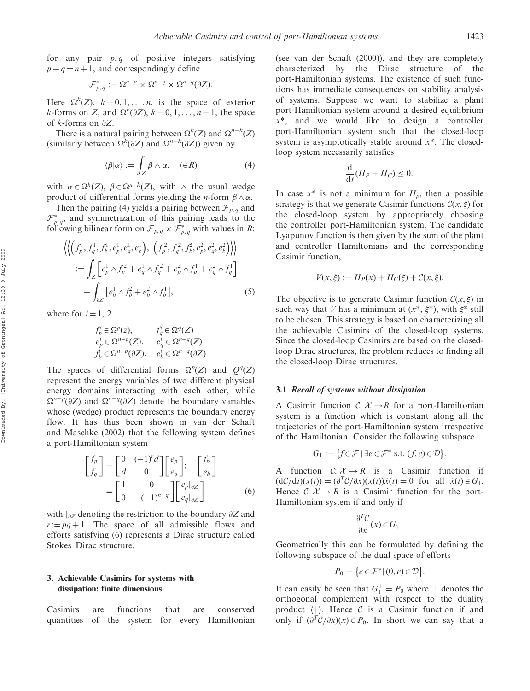for any pair  $p, q$  of positive integers satisfying  $p + q = n + 1$ , and correspondingly define

$$
\mathcal{F}_{p,q}^* := \Omega^{n-p} \times \Omega^{n-q} \times \Omega^{n-q}(\partial Z).
$$

Here  $\Omega^{k}(Z)$ ,  $k=0,1,\ldots,n$ , is the space of exterior k-forms on Z, and  $\Omega^k(\partial Z)$ ,  $k = 0, 1, \ldots, n - 1$ , the space of  $k$ -forms on  $\partial Z$ .

There is a natural pairing between  $\Omega^{k}(Z)$  and  $\Omega^{n-k}(Z)$ (similarly between  $\Omega^{k}(\partial Z)$  and  $\Omega^{n-k}(\partial Z)$ ) given by

$$
\langle \beta | \alpha \rangle := \int_Z \beta \wedge \alpha, \quad (\in R) \tag{4}
$$

with  $\alpha \in \Omega^k(Z)$ ,  $\beta \in \Omega^{n-k}(Z)$ , with  $\wedge$  the usual wedge product of differential forms yielding the *n*-form  $\beta \wedge \alpha$ .

Then the pairing (4) yields a pairing between  $\mathcal{F}_{p,q}$  and  $\mathcal{F}_{p,q}^*$ , and symmetrization of this pairing leads to the following bilinear form on  $\mathcal{F}_{p,q} \times \mathcal{F}_{p,q}^*$  with values in R:

$$
\left\langle \left\langle \left( f_p^1, f_q^1, f_b^1, e_p^1, e_q^1, e_b^1 \right), \left( f_p^2, f_q^2, f_b^2, e_p^2, e_q^2, e_b^2 \right) \right\rangle \right\rangle
$$
  
:=  $\int_Z \left[ e_p^1 \wedge f_p^2 + e_q^1 \wedge f_q^2 + e_p^2 \wedge f_p^1 + e_q^2 \wedge f_q^1 \right]$   
+  $\int_{\partial Z} \left[ e_b^1 \wedge f_b^2 + e_b^2 \wedge f_b^1 \right],$  (5)

where for  $i = 1, 2$ 

$$
\begin{array}{ll} f_p^i \in \Omega^p(\boldsymbol{z}), & f_q^i \in \Omega^q(\boldsymbol{Z}) \\ e_p^i \in \Omega^{n-p}(\boldsymbol{Z}), & e_q^i \in \Omega^{n-q}(\boldsymbol{Z}) \\ f_b^i \in \Omega^{n-p}(\partial \boldsymbol{Z}), & e_b^i \in \Omega^{n-q}(\partial \boldsymbol{Z}) \end{array}
$$

The spaces of differential forms  $\Omega^p(Z)$  and  $Q^q(Z)$ represent the energy variables of two different physical energy domains interacting with each other, while  $\Omega^{n-p}(\partial Z)$  and  $\Omega^{n-q}(\partial Z)$  denote the boundary variables whose (wedge) product represents the boundary energy flow. It has thus been shown in van der Schaft and Maschke (2002) that the following system defines a port-Hamiltonian system

$$
\begin{bmatrix} f_p \\ f_q \end{bmatrix} = \begin{bmatrix} 0 & (-1)^r d \\ d & 0 \end{bmatrix} \begin{bmatrix} e_p \\ e_q \end{bmatrix}; \quad \begin{bmatrix} f_b \\ e_b \end{bmatrix}
$$

$$
= \begin{bmatrix} 1 & 0 \\ 0 & -(-1)^{n-q} \end{bmatrix} \begin{bmatrix} e_p \vert_{\partial Z} \\ e_q \vert_{\partial Z} \end{bmatrix}
$$
(6)

with  $|_{\partial Z}$  denoting the restriction to the boundary  $\partial Z$  and  $r := pq + 1$ . The space of all admissible flows and efforts satisfying (6) represents a Dirac structure called Stokes–Dirac structure.

### 3. Achievable Casimirs for systems with dissipation: finite dimensions

Casimirs are functions that are conserved quantities of the system for every Hamiltonian (see van der Schaft (2000)), and they are completely characterized by the Dirac structure of the port-Hamiltonian systems. The existence of such functions has immediate consequences on stability analysis of systems. Suppose we want to stabilize a plant port-Hamiltonian system around a desired equilibrium  $x^*$ , and we would like to design a controller port-Hamiltonian system such that the closed-loop system is asymptotically stable around  $x^*$ . The closedloop system necessarily satisfies

$$
\frac{\mathrm{d}}{\mathrm{d}t}(H_P + H_C) \le 0.
$$

In case  $x^*$  is not a minimum for  $H_p$ , then a possible strategy is that we generate Casimir functions  $C(x, \xi)$  for the closed-loop system by appropriately choosing the controller port-Hamiltonian system. The candidate Lyapunov function is then given by the sum of the plant and controller Hamiltonians and the corresponding Casimir function,

$$
V(x,\xi) := H_P(x) + H_C(\xi) + C(x,\xi).
$$

The objective is to generate Casimir function  $C(x, \xi)$  in such way that V has a minimum at  $(x^*, \xi^*)$ , with  $\xi^*$  still to be chosen. This strategy is based on characterizing all the achievable Casimirs of the closed-loop systems. Since the closed-loop Casimirs are based on the closedloop Dirac structures, the problem reduces to finding all the closed-loop Dirac structures.

#### 3.1 Recall of systems without dissipation

A Casimir function C:  $\mathcal{X} \rightarrow R$  for a port-Hamiltonian system is a function which is constant along all the trajectories of the port-Hamiltonian system irrespective of the Hamiltonian. Consider the following subspace

$$
G_1 := \{ f \in \mathcal{F} \mid \exists e \in \mathcal{F}^* \text{ s.t. } (f, e) \in \mathcal{D} \}.
$$

A function  $C: \mathcal{X} \to R$  is a Casimir function if  $(dC/dt)(x(t)) = (\partial^T C/\partial x)(x(t))\dot{x}(t) = 0$  for all  $\dot{x}(t) \in G_1$ . Hence  $C: \mathcal{X} \to R$  is a Casimir function for the port-Hamiltonian system if and only if

$$
\frac{\partial^T \mathcal{C}}{\partial x}(x) \in G_1^{\perp}.
$$

Geometrically this can be formulated by defining the following subspace of the dual space of efforts

$$
P_0 = \{e \in \mathcal{F}^* | (0, e) \in \mathcal{D}\}.
$$

It can easily be seen that  $G_1^{\perp} = P_0$  where  $\perp$  denotes the orthogonal complement with respect to the duality product  $\langle \cdot | \cdot \rangle$ . Hence C is a Casimir function if and only if  $(\partial^T C/\partial x)(x) \in P_0$ . In short we can say that a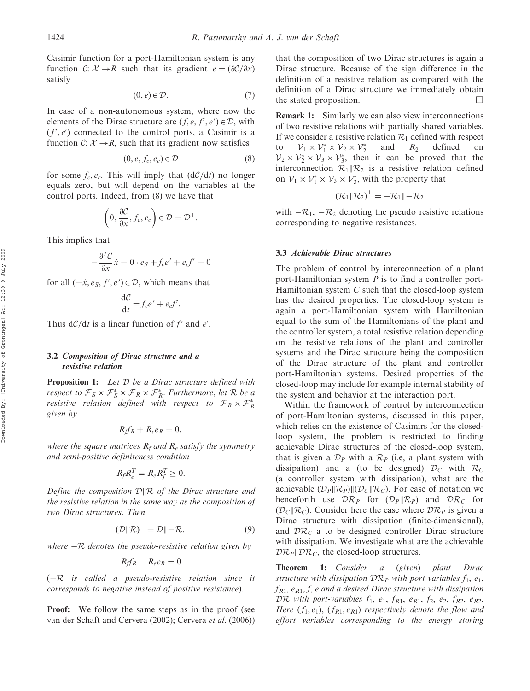Casimir function for a port-Hamiltonian system is any function C:  $\mathcal{X} \rightarrow R$  such that its gradient  $e = (\partial \mathcal{C}/\partial x)$ satisfy

$$
(0, e) \in \mathcal{D}.\tag{7}
$$

In case of a non-autonomous system, where now the elements of the Dirac structure are  $(f, e, f', e') \in \mathcal{D}$ , with  $(f', e')$  connected to the control ports, a Casimir is a function C:  $\mathcal{X} \rightarrow R$ , such that its gradient now satisfies

$$
(0, e, f_c, e_c) \in \mathcal{D} \tag{8}
$$

for some  $f_c, e_c$ . This will imply that  $(dC/dt)$  no longer equals zero, but will depend on the variables at the control ports. Indeed, from (8) we have that

$$
\left(0, \frac{\partial \mathcal{C}}{\partial x}, f_c, e_c\right) \in \mathcal{D} = \mathcal{D}^{\perp}.
$$

This implies that

$$
-\frac{\partial^T C}{\partial x}\dot{x} = 0 \cdot e_S + f_c e' + e_c f' = 0
$$

for all  $(-\dot{x}, e_S, f', e') \in \mathcal{D}$ , which means that

$$
\frac{\mathrm{d}C}{\mathrm{d}t} = f_c e' + e_c f'.
$$

Thus  $dC/dt$  is a linear function of f' and e'.

## 3.2 Composition of Dirac structure and a resistive relation

Proposition 1: Let  $D$  be a Dirac structure defined with respect to  $\mathcal{F}_S \times \mathcal{F}_S^* \times \mathcal{F}_R \times \mathcal{F}_R^*$ . Furthermore, let R be a resistive relation defined with respect to  $\mathcal{F}_R \times \mathcal{F}_R^*$ given by

$$
R_f f_R + R_e e_R = 0,
$$

where the square matrices  $R_f$  and  $R_e$  satisfy the symmetry and semi-positive definiteness condition

$$
R_f R_e^T = R_e R_f^T \geq 0.
$$

Define the composition  $D\|R$  of the Dirac structure and the resistive relation in the same way as the composition of two Dirac structures. Then

$$
(\mathcal{D}||\mathcal{R})^{\perp} = \mathcal{D}||-\mathcal{R},\tag{9}
$$

where  $-R$  denotes the pseudo-resistive relation given by

$$
R_f f_R - R_e e_R = 0
$$

 $(-R$  is called a pseudo-resistive relation since it corresponds to negative instead of positive resistance).

**Proof:** We follow the same steps as in the proof (see van der Schaft and Cervera (2002); Cervera et al. (2006)) that the composition of two Dirac structures is again a Dirac structure. Because of the sign difference in the definition of a resistive relation as compared with the definition of a Dirac structure we immediately obtain the stated proposition.  $\Box$ 

Remark 1: Similarly we can also view interconnections of two resistive relations with partially shared variables. If we consider a resistive relation  $\mathcal{R}_1$  defined with respect to  $V_1 \times V_1^* \times V_2 \times V_2^*$ and  $R_2$  defined on  $\mathcal{V}_2 \times \mathcal{V}_2^* \times \mathcal{V}_3 \times \mathcal{V}_3^*$ , then it can be proved that the interconnection  $\mathcal{R}_1 || \mathcal{R}_2$  is a resistive relation defined on  $\mathcal{V}_1 \times \mathcal{V}_1^* \times \mathcal{V}_3 \times \mathcal{V}_3^*$ , with the property that

$$
(\mathcal{R}_1 \|\mathcal{R}_2)^{\perp} = -\mathcal{R}_1 \|\!-\!\mathcal{R}_2
$$

with  $-R_1$ ,  $-R_2$  denoting the pseudo resistive relations corresponding to negative resistances.

## 3.3 Achievable Dirac structures

The problem of control by interconnection of a plant port-Hamiltonian system  $P$  is to find a controller port-Hamiltonian system  $C$  such that the closed-loop system has the desired properties. The closed-loop system is again a port-Hamiltonian system with Hamiltonian equal to the sum of the Hamiltonians of the plant and the controller system, a total resistive relation depending on the resistive relations of the plant and controller systems and the Dirac structure being the composition of the Dirac structure of the plant and controller port-Hamiltonian systems. Desired properties of the closed-loop may include for example internal stability of the system and behavior at the interaction port.

Within the framework of control by interconnection of port-Hamiltonian systems, discussed in this paper, which relies on the existence of Casimirs for the closedloop system, the problem is restricted to finding achievable Dirac structures of the closed-loop system, that is given a  $\mathcal{D}_P$  with a  $\mathcal{R}_P$  (i.e., a plant system with dissipation) and a (to be designed)  $\mathcal{D}_C$  with  $\mathcal{R}_C$ (a controller system with dissipation), what are the achievable  $(D_P || \mathcal{R}_P) || (D_C || \mathcal{R}_C)$ . For ease of notation we henceforth use  $\mathcal{DR}_P$  for  $(\mathcal{D}_P || \mathcal{R}_P)$  and  $\mathcal{DR}_C$  for  $(\mathcal{D}_C || \mathcal{R}_C)$ . Consider here the case where  $\mathcal{D} \mathcal{R}_P$  is given a Dirac structure with dissipation (finite-dimensional), and  $\mathcal{D}\mathcal{R}_C$  a to be designed controller Dirac structure with dissipation. We investigate what are the achievable  $DR_P$ || $DR_C$ , the closed-loop structures.

Theorem 1: Consider a (given) plant Dirac structure with dissipation  $\mathcal{DR}_P$  with port variables  $f_1, e_1,$  $f_{R1}, e_{R1}, f, e$  and a desired Dirac structure with dissipation DR with port-variables  $f_1$ ,  $e_1$ ,  $f_{R1}$ ,  $e_{R1}$ ,  $f_2$ ,  $e_2$ ,  $f_{R2}$ ,  $e_{R2}$ . Here  $(f_1, e_1)$ ,  $(f_{R1}, e_{R1})$  respectively denote the flow and effort variables corresponding to the energy storing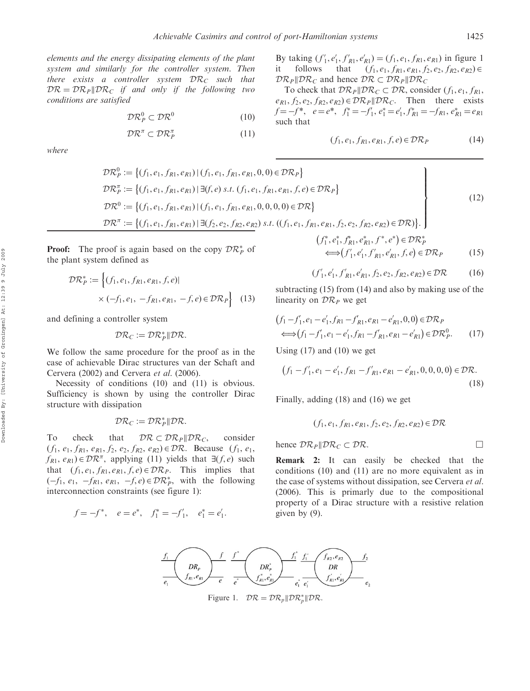elements and the energy dissipating elements of the plant system and similarly for the controller system. Then there exists a controller system  $\mathcal{DR}_C$  such that  $\mathcal{DR} = \mathcal{DR}_P \| \mathcal{DR}_C$  if and only if the following two conditions are satisfied

$$
\mathcal{DR}_P^0 \subset \mathcal{DR}^0 \tag{10}
$$

$$
\mathcal{D}\mathcal{R}^{\pi} \subset \mathcal{D}\mathcal{R}_P^{\pi} \tag{11}
$$

where

$$
\mathcal{DR}_P^0 := \{ (f_1, e_1, f_{R1}, e_{R1}) | (f_1, e_1, f_{R1}, e_{R1}, 0, 0) \in \mathcal{DR}_P \}
$$
\n
$$
\mathcal{DR}_P^{\pi} := \{ (f_1, e_1, f_{R1}, e_{R1}) | \exists (f, e) \text{ s.t. } (f_1, e_1, f_{R1}, e_{R1}, f, e) \in \mathcal{DR}_P \}
$$
\n
$$
\mathcal{DR}^0 := \{ (f_1, e_1, f_{R1}, e_{R1}) | (f_1, e_1, f_{R1}, e_{R1}, 0, 0, 0, 0) \in \mathcal{DR} \}
$$
\n
$$
\mathcal{DR}^{\pi} := \{ (f_1, e_1, f_{R1}, e_{R1}) | \exists (f_2, e_2, f_{R2}, e_{R2}) \text{ s.t. } ((f_1, e_1, f_{R1}, e_{R1}, f_2, e_2, f_{R2}, e_{R2}) \in \mathcal{DR}) \}.
$$
\n(12)

**Proof:** The proof is again based on the copy  $\mathcal{DR}_P^*$  of the plant system defined as

$$
\mathcal{DR}_P^* := \left\{ (f_1, e_1, f_{R1}, e_{R1}, f, e) | \times (-f_1, e_1, -f_{R1}, e_{R1}, -f, e) \in \mathcal{DR}_P \right\}
$$
(13)

and defining a controller system

$$
\mathcal{DR}_C:=\mathcal{DR}_P^* \| \mathcal{DR}.
$$

We follow the same procedure for the proof as in the case of achievable Dirac structures van der Schaft and Cervera (2002) and Cervera et al. (2006).

Necessity of conditions (10) and (11) is obvious. Sufficiency is shown by using the controller Dirac structure with dissipation

$$
\mathcal{DR}_C := \mathcal{DR}_P^* \| \mathcal{DR}.
$$

To check that  $\mathcal{DR} \subset \mathcal{DR}_P \| \mathcal{DR}_C$ , consider  $(f_1, e_1, f_{R1}, e_{R1}, f_2, e_2, f_{R2}, e_{R2}) \in \mathcal{DR}$ . Because  $(f_1, e_1, f_2, e_2, f_{R2}, e_{R2}) \in \mathcal{DR}$ .  $f_{R1}, e_{R1}) \in \mathcal{DR}^{\pi}$ , applying (11) yields that  $\exists (f, e)$  such that  $(f_1, e_1, f_{R1}, e_{R1}, f, e) \in \mathcal{DR}_P$ . This implies that  $(-f_1, e_1, -f_{R1}, e_{R1}, -f, e) \in \mathcal{DR}_P^*$ , with the following interconnection constraints (see figure 1):

$$
f = -f^*
$$
,  $e = e^*$ ,  $f_1^* = -f_1'$ ,  $e_1^* = e_1'$ .

By taking  $(f'_1, e'_1, f'_{R1}, e'_{R1}) = (f_1, e_1, f_{R1}, e_{R1})$  in figure 1 it follows that  $(f_1, e_1, f_{R1}, e_{R1}, f_2, e_2, f_{R2}, e_{R2}) \in$  $DR_P$  $\Vert \mathcal{DR}_C$  and hence  $\mathcal{DR} \subset \mathcal{DR}_P \Vert \mathcal{DR}_C$ 

To check that  $\mathcal{DR}_P \| \mathcal{DR}_C \subset \mathcal{DR}$ , consider  $(f_1, e_1, f_{R1},$  $e_{R1}, f_2, e_2, f_{R2}, e_{R2}) \in \mathcal{DR}_P \| \mathcal{DR}_C$ . Then there exists  $f = -f^*$ ,  $e = e^*$ ,  $f_1^* = -f_1$ ,  $e_1^* = e_1$ ,  $f_{R1}^* = -f_{R1}$ ,  $e_{R1}^* = e_{R1}$ such that

$$
(f_1, e_1, f_{R1}, e_{R1}, f, e) \in \mathcal{DR}_P \tag{14}
$$

$$
(f_1^*, e_1^*, f_{R1}^*, e_{R1}^*, f^*, e^*) \in \mathcal{DR}_P^*
$$
  

$$
\iff (f_1', e_1', f_{R1}', e_{R1}', f, e) \in \mathcal{DR}_P
$$
 (15)

$$
(f'_1, e'_1, f'_{R1}, e'_{R1}, f_2, e_2, f_{R2}, e_{R2}) \in \mathcal{DR}
$$
 (16)

subtracting (15) from (14) and also by making use of the linearity on  $\mathcal{DR}_P$  we get

$$
(f_1 - f'_1, e_1 - e'_1, f_{R1} - f'_{R1}, e_{R1} - e'_{R1}, 0, 0) \in \mathcal{DR}_P
$$
  

$$
\iff (f_1 - f'_1, e_1 - e'_1, f_{R1} - f'_{R1}, e_{R1} - e'_{R1}) \in \mathcal{DR}_P^0.
$$
 (17)

Using  $(17)$  and  $(10)$  we get

$$
(f_1 - f_1', e_1 - e_1', f_{R1} - f_{R1}', e_{R1} - e_{R1}', 0, 0, 0, 0) \in \mathcal{DR}.
$$
\n(18)

Finally, adding (18) and (16) we get

$$
(f_1, e_1, f_{R1}, e_{R1}, f_2, e_2, f_{R2}, e_{R2}) \in \mathcal{DR}
$$

hence 
$$
\mathcal{DR}_P || \mathcal{DR}_C \subset \mathcal{DR}
$$
.

Remark 2: It can easily be checked that the conditions (10) and (11) are no more equivalent as in the case of systems without dissipation, see Cervera et al. (2006). This is primarly due to the compositional property of a Dirac structure with a resistive relation given by (9).



Figure 1.  $\mathcal{DR} = \mathcal{DR}_p || \mathcal{DR}_p^* || \mathcal{DR}.$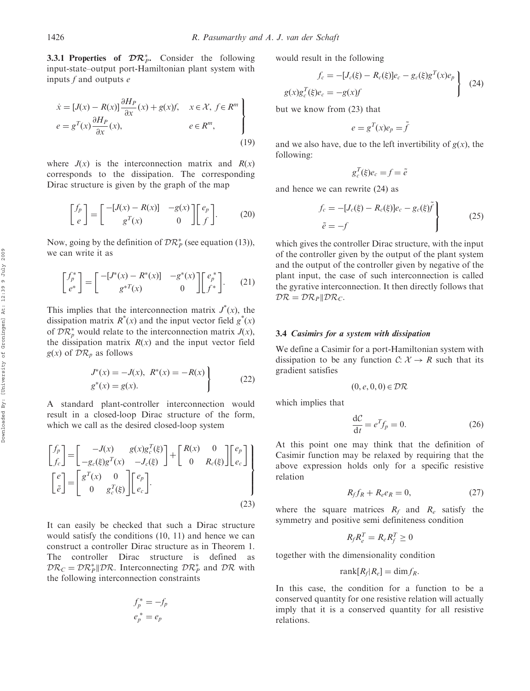$g(x)$ 

**3.3.1 Properties of**  $\mathcal{DR}_P^*$ **.** Consider the following input-state–output port-Hamiltonian plant system with inputs  $f$  and outputs  $e$ 

$$
\begin{aligned}\n\dot{x} &= [J(x) - R(x)] \frac{\partial H_P}{\partial x}(x) + g(x)f, & x \in \mathcal{X}, f \in R^m \\
e &= g^T(x) \frac{\partial H_P}{\partial x}(x), & e \in R^m,\n\end{aligned}
$$
\n(19)

where  $J(x)$  is the interconnection matrix and  $R(x)$ corresponds to the dissipation. The corresponding Dirac structure is given by the graph of the map

$$
\begin{bmatrix} f_p \\ e \end{bmatrix} = \begin{bmatrix} -[J(x) - R(x)] & -g(x) \\ g^T(x) & 0 \end{bmatrix} \begin{bmatrix} e_p \\ f \end{bmatrix}.
$$
 (20)

Now, going by the definition of  $\mathcal{DR}_P^*$  (see equation (13)), we can write it as

$$
\begin{bmatrix} f_p^* \\ e^* \end{bmatrix} = \begin{bmatrix} -[J^*(x) - R^*(x)] & -g^*(x) \\ g^{*T}(x) & 0 \end{bmatrix} \begin{bmatrix} e_p^* \\ f^* \end{bmatrix}.
$$
 (21)

This implies that the interconnection matrix  $J^*(x)$ , the dissipation matrix  $R^*(x)$  and the input vector field  $g^*(x)$ of  $\mathcal{DR}_p^*$  would relate to the interconnection matrix  $J(x)$ , the dissipation matrix  $R(x)$  and the input vector field  $g(x)$  of  $\mathcal{DR}_p$  as follows

$$
J^*(x) = -J(x), R^*(x) = -R(x)
$$
  
\n
$$
g^*(x) = g(x).
$$
\n(22)

A standard plant-controller interconnection would result in a closed-loop Dirac structure of the form, which we call as the desired closed-loop system

$$
\begin{bmatrix} f_p \\ f_c \end{bmatrix} = \begin{bmatrix} -J(x) & g(x)g_c^T(\xi) \\ -g_c(\xi)g^T(x) & -J_c(\xi) \end{bmatrix} + \begin{bmatrix} R(x) & 0 \\ 0 & R_c(\xi) \end{bmatrix} \begin{bmatrix} e_p \\ e_c \end{bmatrix}
$$

$$
\begin{bmatrix} e \\ \tilde{e} \end{bmatrix} = \begin{bmatrix} g^T(x) & 0 \\ 0 & g_c^T(\xi) \end{bmatrix} \begin{bmatrix} e_p \\ e_c \end{bmatrix}.
$$

$$
(23)
$$

It can easily be checked that such a Dirac structure would satisfy the conditions (10, 11) and hence we can construct a controller Dirac structure as in Theorem 1. The controller Dirac structure is defined as  $\mathcal{D}\mathcal{R}_C = \mathcal{D}\mathcal{R}_P^* || \mathcal{D}\mathcal{R}$ . Interconnecting  $\mathcal{D}\mathcal{R}_P^*$  and  $\mathcal{D}\mathcal{R}$  with the following interconnection constraints

$$
f_p^* = -f_p
$$

$$
e_p^* = e_p
$$

would result in the following

$$
f_c = -[J_c(\xi) - R_c(\xi)]e_c - g_c(\xi)g^T(x)e_p
$$
  

$$
g_c^T(\xi)e_c = -g(x)f
$$
 (24)

but we know from (23) that

$$
e = g^T(x)e_p = \tilde{f}
$$

and we also have, due to the left invertibility of  $g(x)$ , the following:

$$
g_c^T(\xi)e_c = f = \tilde{e}
$$

and hence we can rewrite (24) as

$$
f_c = -[J_c(\xi) - R_c(\xi)]e_c - g_c(\xi)\tilde{f}
$$
  

$$
\tilde{e} = -f
$$
 (25)

which gives the controller Dirac structure, with the input of the controller given by the output of the plant system and the output of the controller given by negative of the plant input, the case of such interconnection is called the gyrative interconnection. It then directly follows that  $\mathcal{DR} = \mathcal{DR}_P \parallel \mathcal{DR}_C.$ 

#### 3.4 Casimirs for a system with dissipation

We define a Casimir for a port-Hamiltonian system with dissipation to be any function  $C: \mathcal{X} \to R$  such that its gradient satisfies

$$
(0, e, 0, 0) \in \mathcal{DR}
$$

which implies that

$$
\frac{\mathrm{d}\mathcal{C}}{\mathrm{d}t} = e^T f_p = 0. \tag{26}
$$

At this point one may think that the definition of Casimir function may be relaxed by requiring that the above expression holds only for a specific resistive relation

$$
R_f f_R + R_e e_R = 0,\t\t(27)
$$

where the square matrices  $R_f$  and  $R_e$  satisfy the symmetry and positive semi definiteness condition

$$
R_f R_e^T = R_e R_f^T \geq 0
$$

together with the dimensionality condition

$$
rank[R_f|R_e] = \dim f_R.
$$

In this case, the condition for a function to be a conserved quantity for one resistive relation will actually imply that it is a conserved quantity for all resistive relations.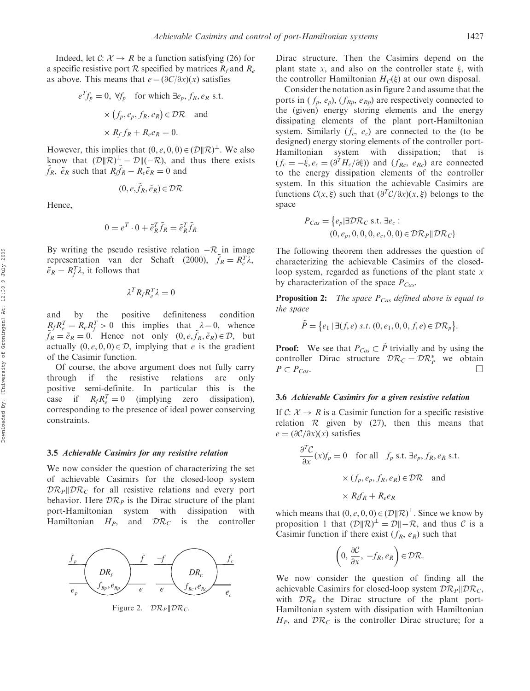Indeed, let C:  $\mathcal{X} \rightarrow R$  be a function satisfying (26) for a specific resistive port R specified by matrices  $R_f$  and  $R_e$ as above. This means that  $e = (\partial C/\partial x)(x)$  satisfies

$$
e^T f_p = 0
$$
,  $\forall f_p$  for which  $\exists e_p, f_R, e_R$  s.t.  
\n $\times (f_p, e_p, f_R, e_R) \in \mathcal{DR}$  and  
\n $\times R_f f_R + R_e e_R = 0$ .

However, this implies that  $(0, e, 0, 0) \in (\mathcal{D} \parallel \mathcal{R})^{\perp}$ . We also know that  $(D||R)^{\perp} = D||(-R)$ , and thus there exists  $\tilde{f}_R$ ,  $\tilde{e}_R$  such that  $R_f \tilde{f}_R - R_e \tilde{e}_R = 0$  and

$$
(0,e,\tilde{f}_R,\tilde{e}_R)\in\mathcal{DR}
$$

Hence,

$$
0 = e^T \cdot 0 + \tilde{e}_R^T \tilde{f}_R = \tilde{e}_R^T \tilde{f}_R
$$

By writing the pseudo resistive relation  $-R$  in image representation van der Schaft (2000),  $\tilde{f}_R = R_e^T \lambda$ ,  $ilde{e}_R = R_f^T \lambda$ , it follows that

$$
\lambda^T R_f R_e^T \lambda = 0
$$

and by the positive definiteness condition  $R_f R_e^T = R_e R_f^T > 0$  this implies that  $\lambda = 0$ , whence  $\tilde{f}_R = \tilde{e}_R = 0$ . Hence not only  $(0, e, \tilde{f}_R, \tilde{e}_R) \in \mathcal{D}$ , but actually  $(0, e, 0, 0) \in \mathcal{D}$ , implying that e is the gradient of the Casimir function.

Of course, the above argument does not fully carry through if the resistive relations are only positive semi-definite. In particular this is the case if  $R_f R_e^T = 0$  (implying zero dissipation), corresponding to the presence of ideal power conserving constraints.

#### 3.5 Achievable Casimirs for any resistive relation

We now consider the question of characterizing the set of achievable Casimirs for the closed-loop system  $DR_P$ || $DR_C$  for all resistive relations and every port behavior. Here  $\mathcal{DR}_P$  is the Dirac structure of the plant port-Hamiltonian system with dissipation with Hamiltonian  $H_P$ , and  $\mathcal{DR}_C$  is the controller



Figure 2.  $\mathcal{DR}_P \| \mathcal{DR}_C$ .

Dirac structure. Then the Casimirs depend on the plant state x, and also on the controller state  $\xi$ , with the controller Hamiltonian  $H_C(\xi)$  at our own disposal.

Consider the notation as in figure 2 and assume that the ports in  $(f_p, e_p)$ ,  $(f_{Rp}, e_{Rp})$  are respectively connected to the (given) energy storing elements and the energy dissipating elements of the plant port-Hamiltonian system. Similarly  $(f_c, e_c)$  are connected to the (to be designed) energy storing elements of the controller port-Hamiltonian system with dissipation; that is  $(f_c = -\dot{\xi}, e_c = (\dot{\partial}^T H_c/\partial \xi))$  and  $(f_{Rc}, e_{Rc})$  are connected to the energy dissipation elements of the controller system. In this situation the achievable Casimirs are functions  $C(x, \xi)$  such that  $\left(\frac{\partial^T C}{\partial x}\right)(x, \xi)$  belongs to the space

$$
P_{Cas} = \{e_p | \exists \mathcal{D} \mathcal{R}_C \text{ s.t. } \exists e_c :
$$
  

$$
(0, e_p, 0, 0, 0, e_c, 0, 0) \in \mathcal{D} \mathcal{R}_P || \mathcal{D} \mathcal{R}_C \}
$$

The following theorem then addresses the question of characterizing the achievable Casimirs of the closedloop system, regarded as functions of the plant state  $x$ by characterization of the space  $P_{Cas.}$ 

**Proposition 2:** The space  $P_{Cas}$  defined above is equal to the space

$$
\tilde{P} = \{e_1 \mid \exists (f, e) \ s.t. \ (0, e_1, 0, 0, f, e) \in \mathcal{DR}_p\}.
$$

**Proof:** We see that  $P_{Cas} \subset \tilde{P}$  trivially and by using the controller Dirac structure  $\mathcal{D}R_C = \mathcal{D}R_P^*$  we obtain  $P \subset P_{Cas.}$ 

#### 3.6 Achievable Casimirs for a given resistive relation

If C:  $X \to R$  is a Casimir function for a specific resistive relation  $\mathcal R$  given by (27), then this means that  $e = (\partial \mathcal{C}/\partial x)(x)$  satisfies

$$
\frac{\partial^T C}{\partial x}(x)f_p = 0 \text{ for all } f_p \text{ s.t. } \exists e_p, f_R, e_R \text{ s.t.}
$$

$$
\times (f_p, e_p, f_R, e_R) \in \mathcal{DR} \text{ and}
$$

$$
\times Rf_R + R_e e_R
$$

which means that  $(0, e, 0, 0) \in (\mathcal{D} \parallel \mathcal{R})^{\perp}$ . Since we know by proposition 1 that  $(\mathcal{D} \| \mathcal{R})^{\perp} = \mathcal{D} \| - \mathcal{R}$ , and thus C is a Casimir function if there exist  $(f_R, e_R)$  such that

$$
\left(0, \frac{\partial \mathcal{C}}{\partial x}, -f_R, e_R\right) \in \mathcal{DR}.
$$

We now consider the question of finding all the achievable Casimirs for closed-loop system  $\mathcal{DR}_P \| \mathcal{DR}_C$ , with  $\mathcal{DR}_p$  the Dirac structure of the plant port-Hamiltonian system with dissipation with Hamiltonian  $H_P$ , and  $\mathcal{DR}_C$  is the controller Dirac structure; for a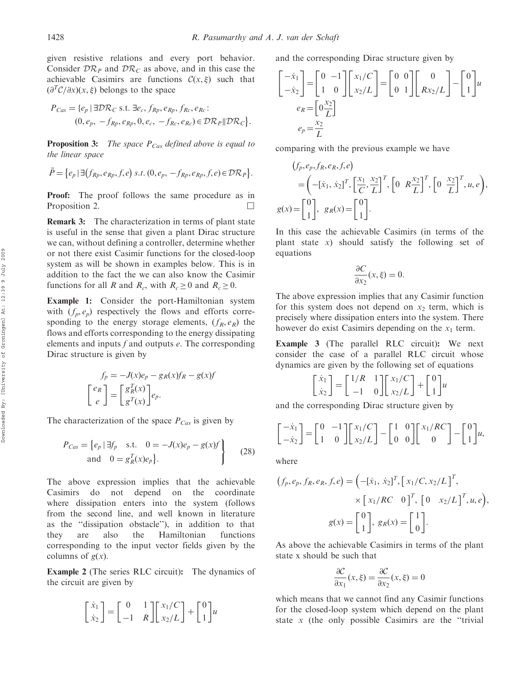given resistive relations and every port behavior. Consider  $\mathcal{DR}_P$  and  $\mathcal{DR}_C$  as above, and in this case the achievable Casimirs are functions  $C(x, \xi)$  such that  $\left(\partial^T \mathcal{C}/\partial x\right)(x,\xi)$  belongs to the space

$$
P_{Cas} = \{e_p \mid \exists \mathcal{D} \mathcal{R}_C \text{ s.t. } \exists e_c, f_{Rp}, e_{Rp}, f_{Rc}, e_{Rc}:\newline (0, e_p, -f_{Rp}, e_{Rp}, 0, e_c, -f_{Rc}, e_{Rc}) \in \mathcal{D} \mathcal{R}_P \|\mathcal{D} \mathcal{R}_C\}.
$$

**Proposition 3:** The space  $P_{Cas}$  defined above is equal to the linear space

$$
\tilde{P} = \left\{ e_p \mid \exists (f_{Rp}, e_{Rp}, f, e) \ s.t. \ (0, e_p, -f_{Rp}, e_{Rp}, f, e) \in \mathcal{DR}_P \right\}.
$$

Proof: The proof follows the same procedure as in Proposition 2.  $\Box$ 

Remark 3: The characterization in terms of plant state is useful in the sense that given a plant Dirac structure we can, without defining a controller, determine whether or not there exist Casimir functions for the closed-loop system as will be shown in examples below. This is in addition to the fact the we can also know the Casimir functions for all R and  $R_c$ , with  $R_c \ge 0$  and  $R_c \ge 0$ .

Example 1: Consider the port-Hamiltonian system with  $(f_p, e_p)$  respectively the flows and efforts corresponding to the energy storage elements,  $(f_R, e_R)$  the flows and efforts corresponding to the energy dissipating elements and inputs  $f$  and outputs  $e$ . The corresponding Dirac structure is given by

$$
f_p = -J(x)e_p - g_R(x)f_R - g(x)f
$$

$$
\begin{bmatrix} e_R \\ e \end{bmatrix} = \begin{bmatrix} g_R^T(x) \\ g^T(x) \end{bmatrix} e_p.
$$

The characterization of the space  $P_{Cas}$  is given by

$$
P_{Cas} = \left\{ e_p \mid \exists f_p \quad \text{s.t.} \quad 0 = -J(x)e_p - g(x)f \right\}
$$
  
and 
$$
0 = g_R^T(x)e_p \right\}.
$$
 (28)

The above expression implies that the achievable Casimirs do not depend on the coordinate where dissipation enters into the system (follows from the second line, and well known in literature as the ''dissipation obstacle''), in addition to that they are also the Hamiltonian functions corresponding to the input vector fields given by the columns of  $g(x)$ .

Example 2 (The series RLC circuit): The dynamics of the circuit are given by

$$
\begin{bmatrix} \dot{x}_1 \\ \dot{x}_2 \end{bmatrix} = \begin{bmatrix} 0 & 1 \\ -1 & R \end{bmatrix} \begin{bmatrix} x_1/C \\ x_2/L \end{bmatrix} + \begin{bmatrix} 0 \\ 1 \end{bmatrix} u
$$

and the corresponding Dirac structure given by

$$
\begin{bmatrix} -\dot{x}_1 \\ -\dot{x}_2 \end{bmatrix} = \begin{bmatrix} 0 & -1 \\ 1 & 0 \end{bmatrix} \begin{bmatrix} x_1/C \\ x_2/L \end{bmatrix} = \begin{bmatrix} 0 & 0 \\ 0 & 1 \end{bmatrix} \begin{bmatrix} 0 \\ Rx_2/L \end{bmatrix} - \begin{bmatrix} 0 \\ 1 \end{bmatrix} u
$$

$$
e_R = \begin{bmatrix} 0 \\ 0 \end{bmatrix} \begin{bmatrix} x_2 \\ E \end{bmatrix}
$$

$$
e_P = \frac{x_2}{L}
$$

comparing with the previous example we have

$$
(f_p, e_p, f_R, e_R, f, e)
$$
  
=  $\left(-[\dot{x}_1, \dot{x}_2]^T, \left[\frac{x_1}{C}, \frac{x_2}{L}\right]^T, \left[0 \ R \frac{x_2}{L}\right]^T, \left[0 \ \frac{x_2}{L}\right]^T, u, e\right),$   

$$
g(x) = \begin{bmatrix} 0 \\ 1 \end{bmatrix}, g_R(x) = \begin{bmatrix} 0 \\ 1 \end{bmatrix}.
$$

In this case the achievable Casimirs (in terms of the plant state  $x$ ) should satisfy the following set of equations

$$
\frac{\partial C}{\partial x_2}(x,\xi) = 0.
$$

The above expression implies that any Casimir function for this system does not depend on  $x_2$  term, which is precisely where dissipation enters into the system. There however do exist Casimirs depending on the  $x_1$  term.

Example 3 (The parallel RLC circuit): We next consider the case of a parallel RLC circuit whose dynamics are given by the following set of equations

$$
\begin{bmatrix} \dot{x}_1 \\ \dot{x}_2 \end{bmatrix} = \begin{bmatrix} 1/R & 1 \\ -1 & 0 \end{bmatrix} \begin{bmatrix} x_1/C \\ x_2/L \end{bmatrix} + \begin{bmatrix} 0 \\ 1 \end{bmatrix} u
$$

and the corresponding Dirac structure given by

$$
\begin{bmatrix} -\dot{x}_1 \\ -\dot{x}_2 \end{bmatrix} = \begin{bmatrix} 0 & -1 \\ 1 & 0 \end{bmatrix} \begin{bmatrix} x_1/C \\ x_2/L \end{bmatrix} - \begin{bmatrix} 1 & 0 \\ 0 & 0 \end{bmatrix} \begin{bmatrix} x_1/RC \\ 0 \end{bmatrix} - \begin{bmatrix} 0 \\ 1 \end{bmatrix} u,
$$

where

$$
(f_p, e_p, f_R, e_R, f, e) = \left(-[\dot{x}_1, \dot{x}_2]^T, [x_1/C, x_2/L]^T, \times [x_1/RC \quad 0]^T, [0 \quad x_2/L]^T, u, e\right),
$$

$$
g(x) = \begin{bmatrix} 0 \\ 1 \end{bmatrix}, g_R(x) = \begin{bmatrix} 1 \\ 0 \end{bmatrix}.
$$

As above the achievable Casimirs in terms of the plant state x should be such that

$$
\frac{\partial \mathcal{C}}{\partial x_1}(x,\xi) = \frac{\partial \mathcal{C}}{\partial x_2}(x,\xi) = 0
$$

which means that we cannot find any Casimir functions for the closed-loop system which depend on the plant state  $x$  (the only possible Casimirs are the "trivial")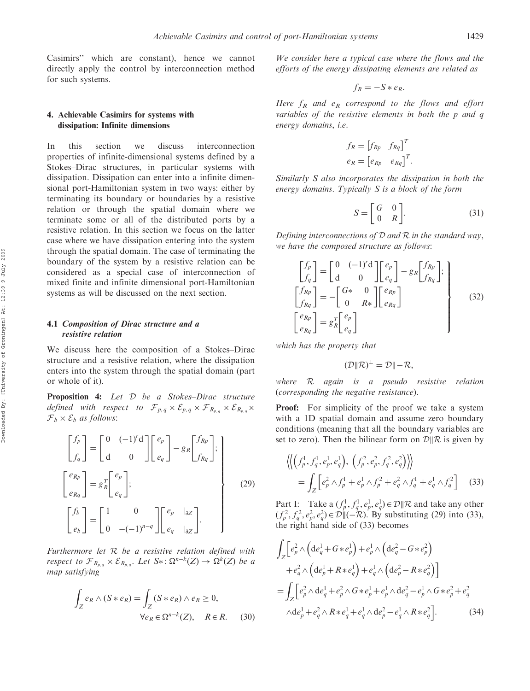Casimirs'' which are constant), hence we cannot directly apply the control by interconnection method for such systems.

## 4. Achievable Casimirs for systems with dissipation: Infinite dimensions

In this section we discuss interconnection properties of infinite-dimensional systems defined by a Stokes–Dirac structures, in particular systems with dissipation. Dissipation can enter into a infinite dimensional port-Hamiltonian system in two ways: either by terminating its boundary or boundaries by a resistive relation or through the spatial domain where we terminate some or all of the distributed ports by a resistive relation. In this section we focus on the latter case where we have dissipation entering into the system through the spatial domain. The case of terminating the boundary of the system by a resistive relation can be considered as a special case of interconnection of mixed finite and infinite dimensional port-Hamiltonian systems as will be discussed on the next section.

## 4.1 Composition of Dirac structure and a resistive relation

We discuss here the composition of a Stokes–Dirac structure and a resistive relation, where the dissipation enters into the system through the spatial domain (part or whole of it).

Proposition 4: Let  $D$  be a Stokes–Dirac structure defined with respect to  $\mathcal{F}_{p,q} \times \mathcal{E}_{p,q} \times \mathcal{F}_{R_{p,q}} \times \mathcal{E}_{R_{p,q}} \times$  $\mathcal{F}_b \times \mathcal{E}_b$  as follows:

$$
\begin{bmatrix} f_p \\ f_q \end{bmatrix} = \begin{bmatrix} 0 & (-1)^r d \\ d & 0 \end{bmatrix} \begin{bmatrix} e_p \\ e_q \end{bmatrix} - g_R \begin{bmatrix} f_{Rp} \\ f_{Rq} \end{bmatrix};
$$

$$
\begin{bmatrix} e_{Rp} \\ e_{Rq} \end{bmatrix} = g_R^T \begin{bmatrix} e_p \\ e_q \end{bmatrix};
$$

$$
\begin{bmatrix} f_b \\ e_b \end{bmatrix} = \begin{bmatrix} 1 & 0 \\ 0 & -(-1)^{n-q} \end{bmatrix} \begin{bmatrix} e_p & |_{\partial Z} \\ e_q & |_{\partial Z} \end{bmatrix}.
$$
(29)

Furthermore let  $R$  be a resistive relation defined with respect to  ${\mathcal F}_{R_{p,q}} \times {\mathcal E}_{R_{p,q}}$ . Let  $S_* \colon \Omega^{n-k}(Z) \to \Omega^k(Z)$  be a map satisfying

$$
\int_{Z} e_R \wedge (S * e_R) = \int_{Z} (S * e_R) \wedge e_R \ge 0,
$$
  

$$
\forall e_R \in \Omega^{n-k}(Z), \quad R \in R. \tag{30}
$$

We consider here a typical case where the flows and the efforts of the energy dissipating elements are related as

$$
f_R = -S * e_R.
$$

Here  $f_R$  and  $e_R$  correspond to the flows and effort variables of the resistive elements in both the p and q energy domains, i.e.

$$
f_R = [f_{Rp} \quad f_{Rq}]^T
$$

$$
e_R = [e_{Rp} \quad e_{Rq}]^T.
$$

Similarly S also incorporates the dissipation in both the energy domains. Typically S is a block of the form

$$
S = \begin{bmatrix} G & 0 \\ 0 & R \end{bmatrix}.
$$
 (31)

Defining interconnections of  $D$  and  $R$  in the standard way, we have the composed structure as follows:

$$
\begin{bmatrix} f_p \\ f_q \end{bmatrix} = \begin{bmatrix} 0 & (-1)^r \mathbf{d} \\ \mathbf{d} & 0 \end{bmatrix} \begin{bmatrix} e_p \\ e_q \end{bmatrix} - g_R \begin{bmatrix} f_{Rp} \\ f_{Rq} \end{bmatrix};
$$
\n
$$
\begin{bmatrix} f_{Rp} \\ f_{Rq} \end{bmatrix} = - \begin{bmatrix} G^* & 0 \\ 0 & R^* \end{bmatrix} \begin{bmatrix} e_{Rp} \\ e_{Rq} \end{bmatrix}
$$
\n
$$
\begin{bmatrix} \frac{e_{Rp}}{e_{Rq}} \end{bmatrix} = g_R^T \begin{bmatrix} e_p \\ e_q \end{bmatrix}
$$
\n(32)

which has the property that

$$
(\mathcal{D} \Vert \mathcal{R})^{\perp} = \mathcal{D} \Vert - \mathcal{R},
$$

where  $R$  again is a pseudo resistive relation (corresponding the negative resistance).

**Proof:** For simplicity of the proof we take a system with a 1D spatial domain and assume zero boundary conditions (meaning that all the boundary variables are set to zero). Then the bilinear form on  $\mathcal{D} \parallel \mathcal{R}$  is given by

$$
\left\langle \left\langle \left( f_p^1, f_q^1, e_p^1, e_q^1 \right), \left( f_p^2, e_p^2, f_q^2, e_q^2 \right) \right\rangle \right\rangle
$$
\n
$$
= \int_Z \left[ e_p^2 \wedge f_p^1 + e_p^1 \wedge f_p^2 + e_q^2 \wedge f_q^1 + e_q^1 \wedge f_q^2 \right] \tag{33}
$$

Part I: Take a  $(f_p^1, f_q^1, e_p^1, e_q^1) \in \mathcal{D} \parallel \mathcal{R}$  and take any other  $(f_p^2, f_q^2, e_p^2, e_q^2) \in \mathcal{D} \parallel (-\mathcal{R})$ . By substituting (29) into (33), the right hand side of (33) becomes

$$
\int_{Z} \left[ e_{p}^{2} \wedge \left( \mathrm{d}e_{q}^{1} + G \ast e_{p}^{1} \right) + e_{p}^{1} \wedge \left( \mathrm{d}e_{q}^{2} - G \ast e_{p}^{2} \right) \right.\left. + e_{q}^{2} \wedge \left( \mathrm{d}e_{p}^{1} + R \ast e_{q}^{1} \right) + e_{q}^{1} \wedge \left( \mathrm{d}e_{p}^{2} - R \ast e_{q}^{2} \right) \right]= \int_{Z} \left[ e_{p}^{2} \wedge \mathrm{d}e_{q}^{1} + e_{p}^{2} \wedge G \ast e_{p}^{1} + e_{p}^{1} \wedge \mathrm{d}e_{q}^{2} - e_{p}^{1} \wedge G \ast e_{p}^{2} + e_{q}^{2} \right.\left. \wedge \mathrm{d}e_{p}^{1} + e_{q}^{2} \wedge R \ast e_{q}^{1} + e_{q}^{1} \wedge \mathrm{d}e_{p}^{2} - e_{q}^{1} \wedge R \ast e_{q}^{2} \right]. \tag{34}
$$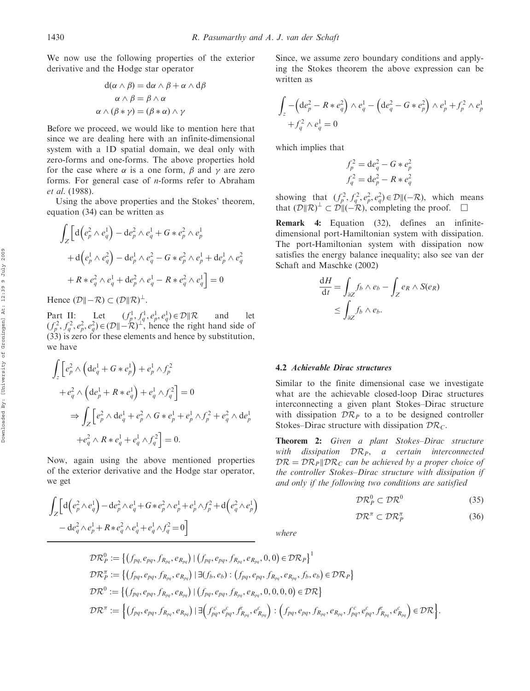We now use the following properties of the exterior derivative and the Hodge star operator

$$
d(\alpha \wedge \beta) = d\alpha \wedge \beta + \alpha \wedge d\beta
$$

$$
\alpha \wedge \beta = \beta \wedge \alpha
$$

$$
\alpha \wedge (\beta * \gamma) = (\beta * \alpha) \wedge \gamma
$$

Before we proceed, we would like to mention here that since we are dealing here with an infinite-dimensional system with a 1D spatial domain, we deal only with zero-forms and one-forms. The above properties hold for the case where  $\alpha$  is a one form,  $\beta$  and  $\nu$  are zero forms. For general case of n-forms refer to Abraham et al. (1988).

Using the above properties and the Stokes' theorem, equation (34) can be written as

$$
\int_{Z} \left[ d\left(e_{p}^{2} \wedge e_{q}^{1}\right) - de_{p}^{2} \wedge e_{q}^{1} + G \ast e_{p}^{2} \wedge e_{p}^{1}\n+ d\left(e_{p}^{1} \wedge e_{q}^{2}\right) - de_{p}^{1} \wedge e_{q}^{2} - G \ast e_{p}^{2} \wedge e_{p}^{1} + de_{p}^{1} \wedge e_{q}^{2}\n+ R \ast e_{q}^{2} \wedge e_{q}^{1} + de_{p}^{2} \wedge e_{q}^{1} - R \ast e_{q}^{2} \wedge e_{q}^{1}\right] = 0
$$

Hence  $(\mathcal{D} \Vert -\mathcal{R}) \subset (\mathcal{D} \Vert \mathcal{R})^{\perp}$ .

Part II: Let  $(f_p^1, f_q^1, e_p^1, e_q^1) \in \mathcal{D} \parallel \mathcal{R}$  and let  $(f_p^2, f_q^2, e_p^2, e_q^2) \in (\mathcal{D} \parallel -\mathcal{R})^{\perp}$ , hence the right hand side of  $(33)$  is zero for these elements and hence by substitution, we have

$$
\int_{z} \left[ e_{p}^{2} \wedge \left( d e_{q}^{1} + G * e_{p}^{1} \right) + e_{p}^{1} \wedge f_{p}^{2} \right]
$$
  
+  $e_{q}^{2} \wedge \left( d e_{p}^{1} + R * e_{q}^{1} \right) + e_{q}^{1} \wedge f_{q}^{2} \right] = 0$   
 $\Rightarrow \int_{Z} \left[ e_{p}^{2} \wedge d e_{q}^{1} + e_{p}^{2} \wedge G * e_{p}^{1} + e_{p}^{1} \wedge f_{p}^{2} + e_{q}^{2} \wedge d e_{p}^{1} \right]$   
+  $e_{q}^{2} \wedge R * e_{q}^{1} + e_{q}^{1} \wedge f_{q}^{2} \right] = 0.$ 

Now, again using the above mentioned properties of the exterior derivative and the Hodge star operator, we get

$$
\int_{Z} \left[ d \left( e_{p}^{2} \wedge e_{q}^{1} \right) - d e_{p}^{2} \wedge e_{q}^{1} + G \ast e_{p}^{2} \wedge e_{p}^{1} + e_{p}^{1} \wedge f_{p}^{2} + d \left( e_{q}^{2} \wedge e_{p}^{1} \right) \right] - d e_{q}^{2} \wedge e_{p}^{1} + R \ast e_{q}^{2} \wedge e_{q}^{1} + e_{q}^{1} \wedge f_{q}^{2} = 0 \right]
$$

Since, we assume zero boundary conditions and applying the Stokes theorem the above expression can be written as

$$
\int_{z} - (\mathrm{d}e_p^2 - R * e_q^2) \wedge e_q^1 - (\mathrm{d}e_q^2 - G * e_p^2) \wedge e_p^1 + f_p^2 \wedge e_p^1
$$
  
+  $f_q^2 \wedge e_q^1 = 0$ 

which implies that

$$
f_p^2 = \mathrm{d}e_q^2 - G * e_p^2
$$
  

$$
f_q^2 = \mathrm{d}e_p^2 - R * e_q^2
$$

showing that  $(f_p^2, f_q^2, e_p^2, e_q^2) \in \mathcal{D} \| (-\mathcal{R}),$  which means that  $(D||\mathcal{R})^{\perp} \subset \mathcal{D}||(-\mathcal{R})$ , completing the proof.  $\square$ 

Remark 4: Equation (32), defines an infinitedimensional port-Hamiltonian system with dissipation. The port-Hamiltonian system with dissipation now satisfies the energy balance inequality; also see van der Schaft and Maschke (2002)

$$
\frac{dH}{dt} = \int_{\partial Z} f_b \wedge e_b - \int_Z e_R \wedge S(e_R)
$$
  

$$
\leq \int_{\partial Z} f_b \wedge e_b.
$$

#### 4.2 Achievable Dirac structures

Similar to the finite dimensional case we investigate what are the achievable closed-loop Dirac structures interconnecting a given plant Stokes–Dirac structure with dissipation  $\mathcal{DR}_P$  to a to be designed controller Stokes–Dirac structure with dissipation  $\mathcal{DR}_C$ .

Theorem 2: Given a plant Stokes-Dirac structure with dissipation  $\mathcal{DR}_P$ , a certain interconnected  $DR = DR_P||DR_C$  can be achieved by a proper choice of the controller Stokes–Dirac structure with dissipation if and only if the following two conditions are satisfied

$$
\mathcal{DR}_P^0 \subset \mathcal{DR}^0 \tag{35}
$$

$$
\mathcal{D}\mathcal{R}^{\pi} \subset \mathcal{D}\mathcal{R}^{\pi}_{P} \tag{36}
$$

where

$$
\mathcal{DR}_P^0 := \left\{ (f_{pq}, e_{pq}, f_{R_{pq}}, e_{R_{pq}}) \mid (f_{pq}, e_{pq}, f_{R_{pq}}, e_{R_{pq}}, 0, 0) \in \mathcal{DR}_P \right\}^1
$$
\n
$$
\mathcal{DR}_P^{\pi} := \left\{ (f_{pq}, e_{pq}, f_{R_{pq}}, e_{R_{pq}}) \mid \exists (f_b, e_b) : (f_{pq}, e_{pq}, f_{R_{pq}}, e_{R_{pq}}, f_b, e_b) \in \mathcal{DR}_P \right\}
$$
\n
$$
\mathcal{DR}^0 := \left\{ (f_{pq}, e_{pq}, f_{R_{pq}}, e_{R_{pq}}) \mid (f_{pq}, e_{pq}, f_{R_{pq}}, e_{R_{pq}}, 0, 0, 0, 0) \in \mathcal{DR} \right\}
$$
\n
$$
\mathcal{DR}^{\pi} := \left\{ (f_{pq}, e_{pq}, f_{R_{pq}}, e_{R_{pq}}) \mid \exists (f_{pq}^c, e_{pq}^c, f_{R_{pq}}^c, e_{R_{pq}}^c) : (f_{pq}, e_{pq}, f_{R_{pq}}, e_{R_{pq}}, f_{pq}^c, e_{pq}^c, f_{R_{pq}}^c, e_{R_{pq}}^c) \in \mathcal{DR} \right\}.
$$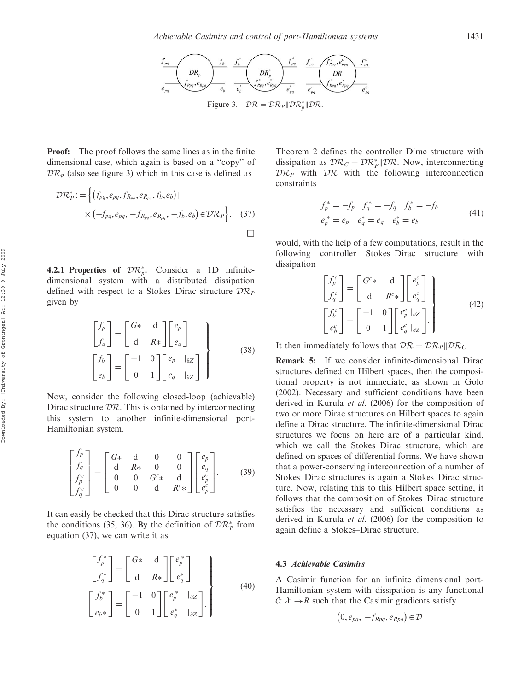

Figure 3.  $\mathcal{DR} = \mathcal{DR}_P || \mathcal{DR}_p^* || \mathcal{DR}$ .

**Proof:** The proof follows the same lines as in the finite dimensional case, which again is based on a ''copy'' of  $\mathcal{DR}_p$  (also see figure 3) which in this case is defined as

$$
\mathcal{DR}_P^* := \left\{ (f_{pq}, e_{pq}, f_{R_{pq}}, e_{R_{pq}}, f_b, e_b) | \times (-f_{pq}, e_{pq}, -f_{R_{pq}}, e_{R_{pq}}, -f_b, e_b) \in \mathcal{DR}_P \right\}.
$$
 (37)

**4.2.1 Properties of**  $\mathcal{DR}_p^*$ . Consider a 1D infinitedimensional system with a distributed dissipation defined with respect to a Stokes–Dirac structure  $\mathcal{DR}_P$ given by

$$
\begin{bmatrix} f_p \\ f_q \end{bmatrix} = \begin{bmatrix} G* & d \\ d & Rs \end{bmatrix} \begin{bmatrix} e_p \\ e_q \end{bmatrix}
$$
  

$$
\begin{bmatrix} f_b \\ e_b \end{bmatrix} = \begin{bmatrix} -1 & 0 \\ 0 & 1 \end{bmatrix} \begin{bmatrix} e_p & |_{\partial Z} \\ e_q & |_{\partial Z} \end{bmatrix}.
$$
 (38)

Now, consider the following closed-loop (achievable) Dirac structure  $\mathcal{DR}$ . This is obtained by interconnecting this system to another infinite-dimensional port-Hamiltonian system.

$$
\begin{bmatrix} f_p \\ f_q \\ f_p^c \\ f_q^c \end{bmatrix} = \begin{bmatrix} G* & d & 0 & 0 \\ d & R* & 0 & 0 \\ 0 & 0 & G^c * & d \\ 0 & 0 & d & R^c * \end{bmatrix} \begin{bmatrix} e_p \\ e_q \\ e_p^c \\ e_p^c \end{bmatrix}.
$$
 (39)

It can easily be checked that this Dirac structure satisfies the conditions (35, 36). By the definition of  $\mathcal{DR}_P^*$  from equation (37), we can write it as

$$
\begin{bmatrix} f_p^* \\ f_q^* \end{bmatrix} = \begin{bmatrix} G^* & d \\ d & R^* \end{bmatrix} \begin{bmatrix} e_p^* \\ e_q^* \end{bmatrix}
$$
\n
$$
\begin{bmatrix} f_b^* \\ e_b^* \end{bmatrix} = \begin{bmatrix} -1 & 0 \\ 0 & 1 \end{bmatrix} \begin{bmatrix} e_p^* & |_{\partial Z} \\ e_q^* & |_{\partial Z} \end{bmatrix}.
$$
\n(40)

Theorem 2 defines the controller Dirac structure with dissipation as  $\mathcal{DR}_C = \mathcal{DR}_P^* || \mathcal{DR}$ . Now, interconnecting  $DR<sub>P</sub>$  with  $DR$  with the following interconnection constraints

$$
f_p^* = -f_p \t f_q^* = -f_q \t f_b^* = -f_b
$$
  
\n
$$
e_p^* = e_p \t e_q^* = e_q \t e_b^* = e_b
$$
\n(41)

would, with the help of a few computations, result in the following controller Stokes–Dirac structure with dissipation

$$
\begin{bmatrix} f_p^c \\ f_q^c \end{bmatrix} = \begin{bmatrix} G^c * & d \\ d & R^c * \end{bmatrix} \begin{bmatrix} e_p^c \\ e_q^c \end{bmatrix}
$$
\n
$$
\begin{bmatrix} f_b^c \\ e_b^c \end{bmatrix} = \begin{bmatrix} -1 & 0 \\ 0 & 1 \end{bmatrix} \begin{bmatrix} e_p^c & |_{\partial Z} \\ e_q^c & |_{\partial Z} \end{bmatrix}.
$$
\n(42)

It then immediately follows that  $\mathcal{DR} = \mathcal{DR}_P \| \mathcal{DR}_C$ 

Remark 5: If we consider infinite-dimensional Dirac structures defined on Hilbert spaces, then the compositional property is not immediate, as shown in Golo (2002). Necessary and sufficient conditions have been derived in Kurula et al. (2006) for the composition of two or more Dirac structures on Hilbert spaces to again define a Dirac structure. The infinite-dimensional Dirac structures we focus on here are of a particular kind, which we call the Stokes–Dirac structure, which are defined on spaces of differential forms. We have shown that a power-conserving interconnection of a number of Stokes–Dirac structures is again a Stokes–Dirac structure. Now, relating this to this Hilbert space setting, it follows that the composition of Stokes–Dirac structure satisfies the necessary and sufficient conditions as derived in Kurula et al. (2006) for the composition to again define a Stokes–Dirac structure.

#### 4.3 Achievable Casimirs

A Casimir function for an infinite dimensional port-Hamiltonian system with dissipation is any functional  $C: \mathcal{X} \rightarrow R$  such that the Casimir gradients satisfy

$$
(0, e_{pq}, -f_{Rpq}, e_{Rpq}) \in \mathcal{D}
$$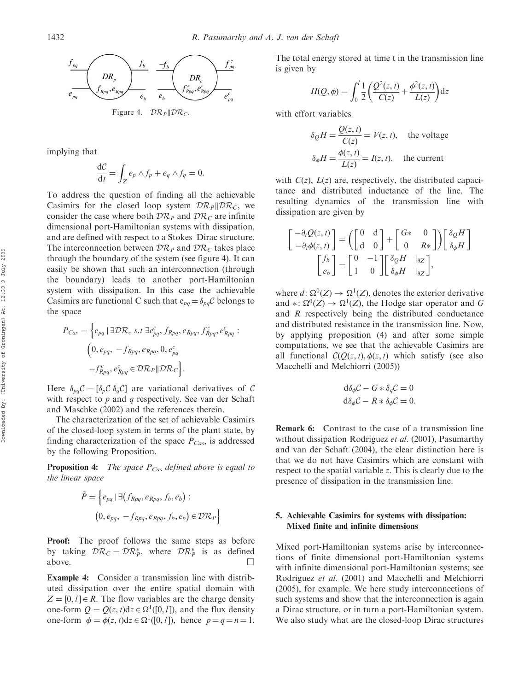

implying that

$$
\frac{\mathrm{d}C}{\mathrm{d}t} = \int_Z e_p \wedge f_p + e_q \wedge f_q = 0.
$$

To address the question of finding all the achievable Casimirs for the closed loop system  $\mathcal{DR}_P \| \mathcal{DR}_C$ , we consider the case where both  $\mathcal{DR}_P$  and  $\mathcal{DR}_C$  are infinite dimensional port-Hamiltonian systems with dissipation, and are defined with respect to a Stokes–Dirac structure. The interconnection between  $\mathcal{DR}_P$  and  $\mathcal{DR}_C$  takes place through the boundary of the system (see figure 4). It can easily be shown that such an interconnection (through the boundary) leads to another port-Hamiltonian system with dissipation. In this case the achievable Casimirs are functional C such that  $e_{pq} = \delta_{pq} C$  belongs to the space

$$
P_{Cas} = \left\{ e_{pq} \mid \exists \mathcal{D} \mathcal{R}_c \ s.t \ \exists e_{pq}^c, f_{Rpq}, e_{Rpq}, f_{Rpq}^c, e_{Rpq}^c : \right.
$$

$$
\left( 0, e_{pq}, -f_{Rpq}, e_{Rpq}, 0, e_{pq}^c \right.
$$

$$
-f_{Rpq}^c, e_{Rpq}^c \in \mathcal{D} \mathcal{R}_P || \mathcal{D} \mathcal{R}_C \right\}.
$$

Here  $\delta_{pq}C = [\delta_p C \ \delta_q C]$  are variational derivatives of C with respect to  $p$  and  $q$  respectively. See van der Schaft and Maschke (2002) and the references therein.

The characterization of the set of achievable Casimirs of the closed-loop system in terms of the plant state, by finding characterization of the space  $P_{Cas}$ , is addressed by the following Proposition.

**Proposition 4:** The space  $P_{Cas}$  defined above is equal to the linear space

$$
\tilde{P} = \left\{ e_{pq} \mid \exists (f_{Rpq}, e_{Rpq}, f_b, e_b) : \right.
$$

$$
(0, e_{pq}, -f_{Rpq}, e_{Rpq}, f_b, e_b) \in \mathcal{DR}_P \right\}
$$

Proof: The proof follows the same steps as before by taking  $\mathcal{DR}_C = \mathcal{DR}_P^*$ , where  $\mathcal{DR}_P^*$  is as defined above.  $\Box$ 

Example 4: Consider a transmission line with distributed dissipation over the entire spatial domain with  $Z = [0, l] \in R$ . The flow variables are the charge density one-form  $Q = Q(z, t)dz \in \Omega^1([0, l])$ , and the flux density one-form  $\phi = \phi(z, t) dz \in \Omega^1([0, l])$ , hence  $p = q = n = 1$ . The total energy stored at time t in the transmission line is given by

$$
H(Q, \phi) = \int_0^l \frac{1}{2} \left( \frac{Q^2(z, t)}{C(z)} + \frac{\phi^2(z, t)}{L(z)} \right) dz
$$

with effort variables

$$
\delta_Q H = \frac{Q(z, t)}{C(z)} = V(z, t),
$$
 the voltage  

$$
\delta_{\phi} H = \frac{\phi(z, t)}{L(z)} = I(z, t),
$$
 the current

with  $C(z)$ ,  $L(z)$  are, respectively, the distributed capacitance and distributed inductance of the line. The resulting dynamics of the transmission line with dissipation are given by

$$
\begin{bmatrix} -\partial_t Q(z, t) \\ -\partial_t \phi(z, t) \end{bmatrix} = \left( \begin{bmatrix} 0 & d \\ d & 0 \end{bmatrix} + \begin{bmatrix} G* & 0 \\ 0 & R* \end{bmatrix} \right) \begin{bmatrix} \delta_Q H \\ \delta_{\phi} H \end{bmatrix}
$$

$$
\begin{bmatrix} f_b \\ e_b \end{bmatrix} = \begin{bmatrix} 0 & -1 \\ 1 & 0 \end{bmatrix} \begin{bmatrix} \delta_Q H & \vert_{\partial Z} \\ \delta_{\phi} H & \vert_{\partial Z} \end{bmatrix},
$$

where  $d: \Omega^0(Z) \to \Omega^1(Z)$ , denotes the exterior derivative and  $\ast: \Omega^0(Z) \to \Omega^1(Z)$ , the Hodge star operator and G and R respectively being the distributed conductance and distributed resistance in the transmission line. Now, by applying proposition (4) and after some simple computations, we see that the achievable Casimirs are all functional  $C(Q(z, t), \phi(z, t)$  which satisfy (see also Macchelli and Melchiorri (2005))

$$
d\delta_{\phi}C - G * \delta_{q}C = 0
$$
  

$$
d\delta_{\phi}C - R * \delta_{\phi}C = 0.
$$

Remark 6: Contrast to the case of a transmission line without dissipation Rodriguez et al. (2001), Pasumarthy and van der Schaft (2004), the clear distinction here is that we do not have Casimirs which are constant with respect to the spatial variable z. This is clearly due to the presence of dissipation in the transmission line.

## 5. Achievable Casimirs for systems with dissipation: Mixed finite and infinite dimensions

Mixed port-Hamiltonian systems arise by interconnections of finite dimensional port-Hamiltonian systems with infinite dimensional port-Hamiltonian systems; see Rodriguez et al. (2001) and Macchelli and Melchiorri (2005), for example. We here study interconnections of such systems and show that the interconnection is again a Dirac structure, or in turn a port-Hamiltonian system. We also study what are the closed-loop Dirac structures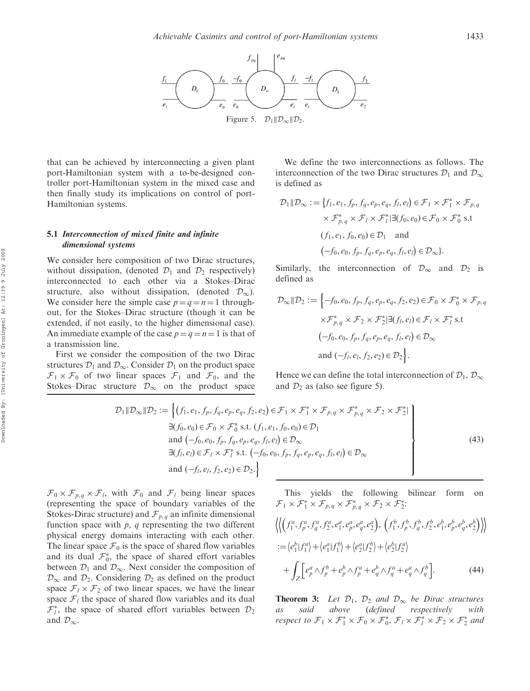

that can be achieved by interconnecting a given plant port-Hamiltonian system with a to-be-designed controller port-Hamiltonian system in the mixed case and then finally study its implications on control of port-Hamiltonian systems.

## 5.1 Interconnection of mixed finite and infinite dimensional systems

We consider here composition of two Dirac structures, without dissipation, (denoted  $\mathcal{D}_1$  and  $\mathcal{D}_2$  respectively) interconnected to each other via a Stokes–Dirac structure, also without dissipation, (denoted  $\mathcal{D}_{\infty}$ ). We consider here the simple case  $p = q = n = 1$  throughout, for the Stokes–Dirac structure (though it can be extended, if not easily, to the higher dimensional case). An immediate example of the case  $p = q = n = 1$  is that of a transmission line.

First we consider the composition of the two Dirac structures  $\mathcal{D}_1$  and  $\mathcal{D}_{\infty}$ . Consider  $\mathcal{D}_1$  on the product space  $\mathcal{F}_1 \times \mathcal{F}_0$  of two linear spaces  $\mathcal{F}_1$  and  $\mathcal{F}_0$ , and the Stokes–Dirac structure  $\mathcal{D}_{\infty}$  on the product space

We define the two interconnections as follows. The interconnection of the two Dirac structures  $\mathcal{D}_1$  and  $\mathcal{D}_{\infty}$ is defined as

$$
\mathcal{D}_1 || \mathcal{D}_{\infty} := \{ f_1, e_1, f_p, f_q, e_p, e_q, f_l, e_l \} \in \mathcal{F}_1 \times \mathcal{F}_1^* \times \mathcal{F}_{p,q}
$$
  
 
$$
\times \mathcal{F}_{p,q}^* \times \mathcal{F}_l \times \mathcal{F}_l^* || \exists (f_0, e_0) \in \mathcal{F}_0 \times \mathcal{F}_0^* \text{ s.t}
$$
  
 
$$
(f_1, e_1, f_0, e_0) \in \mathcal{D}_1 \text{ and}
$$
  
 
$$
(-f_0, e_0, f_p, f_q, e_p, e_q, f_l, e_l) \in \mathcal{D}_{\infty} \}.
$$

Similarly, the interconnection of  $\mathcal{D}_{\infty}$  and  $\mathcal{D}_{2}$  is defined as

$$
\mathcal{D}_{\infty} || \mathcal{D}_{2} := \left\{ -f_{0}, e_{0}, f_{p}, f_{q}, e_{p}, e_{q}, f_{2}, e_{2} \right\} \in \mathcal{F}_{0} \times \mathcal{F}_{0}^{*} \times \mathcal{F}_{p, q}
$$
\n
$$
\times \mathcal{F}_{p, q}^{*} \times \mathcal{F}_{2} \times \mathcal{F}_{2}^{*} |\exists (f_{l}, e_{l}) \in \mathcal{F}_{l} \times \mathcal{F}_{l}^{*} \text{ s.t}
$$
\n
$$
(-f_{0}, e_{0}, f_{p}, f_{q}, e_{p}, e_{q}, f_{l}, e_{l}) \in \mathcal{D}_{\infty}
$$
\n
$$
\text{and } (-f_{l}, e_{l}, f_{2}, e_{2}) \in \mathcal{D}_{2} \right\}.
$$

Hence we can define the total interconnection of  $\mathcal{D}_1, \mathcal{D}_\infty$ and  $\mathcal{D}_2$  as (also see figure 5).

$$
\mathcal{D}_{1} \| \mathcal{D}_{\infty} \| \mathcal{D}_{2} := \left\{ (f_{1}, e_{1}, f_{p}, f_{q}, e_{p}, e_{q}, f_{2}, e_{2}) \in \mathcal{F}_{1} \times \mathcal{F}_{1}^{*} \times \mathcal{F}_{p,q} \times \mathcal{F}_{p,q}^{*} \times \mathcal{F}_{2} \times \mathcal{F}_{2}^{*} | \n\exists (f_{0}, e_{0}) \in \mathcal{F}_{0} \times \mathcal{F}_{0}^{*} \text{ s.t. } (f_{1}, e_{1}, f_{0}, e_{0}) \in \mathcal{D}_{1} \n\text{and } (-f_{0}, e_{0}, f_{p}, f_{q}, e_{p}, e_{q}, f_{1}, e_{l}) \in \mathcal{D}_{\infty} \n\exists (f_{1}, e_{1}) \in \mathcal{F}_{1} \times \mathcal{F}_{1}^{*} \text{ s.t. } (-f_{0}, e_{0}, f_{p}, f_{q}, e_{p}, e_{q}, f_{l}, e_{l}) \in \mathcal{D}_{\infty} \n\text{and } (-f_{1}, e_{1}, f_{2}, e_{2}) \in \mathcal{D}_{2}.\n\right\}
$$
\n(43)

 $\mathcal{F}_0 \times \mathcal{F}_{p,q} \times \mathcal{F}_l$ , with  $\mathcal{F}_0$  and  $\mathcal{F}_l$  being linear spaces (representing the space of boundary variables of the Stokes-Dirac structure) and  $\mathcal{F}_{p,q}$  an infinite dimensional function space with  $p$ ,  $q$  representing the two different physical energy domains interacting with each other. The linear space  $\mathcal{F}_0$  is the space of shared flow variables and its dual  $\mathcal{F}_0^*$ , the space of shared effort variables between  $\mathcal{D}_1$  and  $\mathcal{D}_{\infty}$ . Next consider the composition of  $\mathcal{D}_{\infty}$  and  $\mathcal{D}_{2}$ . Considering  $\mathcal{D}_{2}$  as defined on the product space  $\mathcal{F}_1 \times \mathcal{F}_2$  of two linear spaces, we have the linear space  $\mathcal{F}_l$  the space of shared flow variables and its dual  $\mathcal{F}_l^*$ , the space of shared effort variables between  $\mathcal{D}_2$ and  $\mathcal{D}_{\infty}$ .

This yields the following bilinear form on  $\mathcal{F}_1 \times \mathcal{F}_1^* \times \mathcal{F}_{p,q} \times \mathcal{F}_{p,q}^* \times \mathcal{F}_2 \times \mathcal{F}_2^*$ 

$$
\left\langle \left( f_1^a, f_p^a, f_q^a, f_2^a, e_1^a, e_p^a, e_q^a, e_2^a \right), \left( f_1^b, f_p^b, f_q^b, f_2^b, e_1^b, e_p^b, e_q^b, e_2^b \right) \right\rangle \right\rangle
$$
\n
$$
:= \left\langle e_1^b | f_1^a \right\rangle + \left\langle e_1^a | f_1^b \right\rangle + \left\langle e_2^a | f_2^b \right\rangle + \left\langle e_2^b | f_2^a \right\rangle
$$
\n
$$
+ \int_Z \left[ e_p^a \wedge f_p^b + e_p^b \wedge f_p^a + e_q^b \wedge f_q^a + e_q^a \wedge f_q^b \right]. \tag{44}
$$

**Theorem 3:** Let  $\mathcal{D}_1$ ,  $\mathcal{D}_2$  and  $\mathcal{D}_{\infty}$  be Dirac structures as said above (defined respectively with respect to  $\mathcal{F}_1 \times \mathcal{F}_1^* \times \mathcal{F}_0 \times \mathcal{F}_0^*, \mathcal{F}_1 \times \mathcal{F}_1^* \times \mathcal{F}_2 \times \mathcal{F}_2^*$  and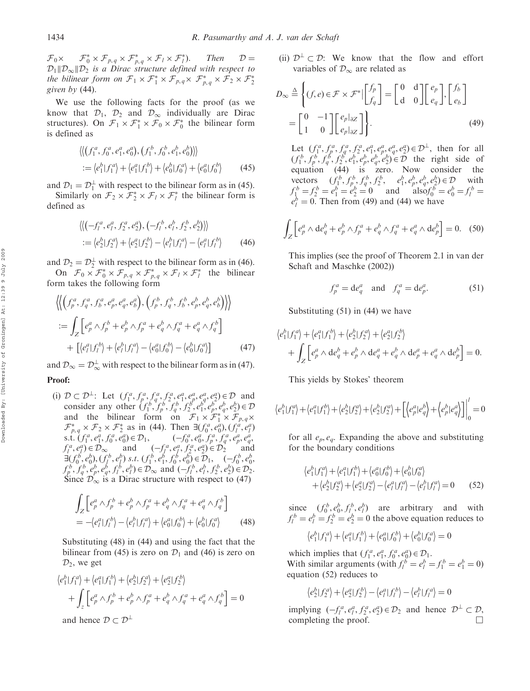${\cal F}_0\times$  $\mathcal{F}_0^* \times \mathcal{F}_{p,q} \times \mathcal{F}_{p,q}^* \times \mathcal{F}_l \times \mathcal{F}_l^*$  $Then \quad \mathcal{D} =$  $\mathcal{D}_1\|\mathcal{D}_{\infty}\|\mathcal{D}_2$  is a Dirac structure defined with respect to the bilinear form on  $\mathcal{F}_1 \times \mathcal{F}_1^* \times \mathcal{F}_{p,q} \times \mathcal{F}_{p,q}^* \times \mathcal{F}_2 \times \mathcal{F}_2^*$ given by (44).

We use the following facts for the proof (as we know that  $\mathcal{D}_1$ ,  $\mathcal{D}_2$  and  $\mathcal{D}_{\infty}$  individually are Dirac structures). On  $\mathcal{F}_1 \times \mathcal{F}_1^* \times \mathcal{F}_0 \times \mathcal{F}_0^*$  the bilinear form is defined as

$$
\langle \langle (f_1^a, f_0^a, e_1^a, e_0^a), (f_1^b, f_0^b, e_1^b, e_0^b) \rangle \rangle
$$
  
 :=  $\langle e_1^b | f_1^a \rangle + \langle e_1^a | f_1^b \rangle + \langle e_0^b | f_0^a \rangle + \langle e_0^a | f_0^b \rangle$  (45)

and  $\mathcal{D}_1 = \mathcal{D}_1^{\perp}$  with respect to the bilinear form as in (45).

Similarly on  $\mathcal{F}_2 \times \mathcal{F}_2^* \times \mathcal{F}_1 \times \mathcal{F}_1^*$  the bilinear form is defined as

$$
\langle \langle (-f_l^a, e_l^a, f_2^a, e_2^a), (-f_l^b, e_l^b, f_2^b, e_2^b) \rangle \rangle
$$
  
 :=  $\langle e_2^b | f_2^a \rangle + \langle e_2^a | f_2^b \rangle - \langle e_l^b | f_1^a \rangle - \langle e_l^a | f_l^b \rangle$  (46)

and  $\mathcal{D}_2 = \mathcal{D}_2^{\perp}$  with respect to the bilinear form as in (46). On  $\mathcal{F}_0 \times \mathcal{F}_0^* \times \mathcal{F}_{p,q} \times \mathcal{F}_{p,q}^* \times \mathcal{F}_l \times \mathcal{F}_l^*$  the bilinear form takes the following form

$$
\left\langle \left\langle \left( f_p^a, f_q^a, f_b^a, e_p^a, e_q^a, e_b^a \right), \left( f_p^b, f_q^b, f_b^b, e_p^b, e_q^b, e_b^b \right) \right\rangle \right\rangle
$$
\n
$$
:= \int_Z \left[ e_p^a \wedge f_p^b + e_p^b \wedge f_p^a + e_q^b \wedge f_q^a + e_q^a \wedge f_q^b \right]
$$
\n
$$
+ \left[ \left\langle e_l^a | f_l^b \right\rangle + \left\langle e_l^b | f_l^a \right\rangle - \left\langle e_0^a | f_0^b \right\rangle - \left\langle e_0^b | f_0^a \right\rangle \right] \tag{47}
$$

and  $\mathcal{D}_{\infty} = \mathcal{D}_{\infty}^{\perp}$  with respect to the bilinear form as in (47).

## Proof:

(i)  $\mathcal{D} \subset \mathcal{D}^{\perp}$ : Let  $(f_1^a, f_p^a, f_q^a, f_2^a, e_1^a, e_p^a, e_q^a, e_2^a) \in \mathcal{D}$  and consider any other  $(f_1^b, f_p^b, f_q^b, f_2^b, e_1^b, e_p^b, e_q^b, e_2^b) \in \mathcal{D}$ and the bilinear form on  $\mathcal{F}_1 \times \mathcal{F}_1^* \times \mathcal{F}_{p,q}$  $\mathcal{F}_{p,q}^* \times \mathcal{F}_2 \times \mathcal{F}_2^*$  as in (44). Then  $\exists (f_0^a, e_0^a), (f_l^a, e_l^a)$ s.t.  $(f_1^a, e_1^a, f_0^a, e_0^a) \in \mathcal{D}_1$ ,  $(-f_0^a, e_0^a, f_p^a, f_q^a, e_p^a, e_q^a)$  $f_l^a, e_l^a \in \mathcal{D}_{\infty}$  and  $(-f_l^a, e_l^a, f_2^a, e_2^a) \in \mathcal{D}_2$  and  $\exists (f_0^b, e_0^b), (f_l^b, e_l^b) \text{ s.t. } (f_1^b, e_1^b, f_0^b, e_0^b) \in \mathcal{D}_1, \quad (-f_0^b, e_0^b,$  $f_p^b, f_q^b, e_p^b, e_q^b, f_l^b, e_l^b) \in \mathcal{D}_{\infty}$  and  $(-f_l^b, e_l^b, f_2^b, e_2^b) \in \mathcal{D}_2$ . Since  $\mathcal{D}_{\infty}$  is a Dirac structure with respect to (47)

$$
\int_{Z} \left[ e_p^a \wedge f_p^b + e_p^b \wedge f_p^a + e_q^b \wedge f_q^a + e_q^a \wedge f_q^b \right]
$$
\n
$$
= -\langle e_i^a | f_i^b \rangle - \langle e_i^b | f_i^a \rangle + \langle e_0^a | f_0^b \rangle + \langle e_0^b | f_0^a \rangle \tag{48}
$$

Substituting (48) in (44) and using the fact that the bilinear from (45) is zero on  $\mathcal{D}_1$  and (46) is zero on  $\mathcal{D}_2$ , we get

$$
\langle e_1^b | f_1^a \rangle + \langle e_1^a | f_1^b \rangle + \langle e_2^b | f_2^a \rangle + \langle e_2^a | f_2^b \rangle
$$
  
+ 
$$
\int_z \left[ e_p^a \wedge f_p^b + e_p^b \wedge f_p^a + e_q^b \wedge f_q^a + e_q^a \wedge f_q^b \right] = 0
$$
  
and hence  $\mathcal{D} \subset \mathcal{D}^\perp$ 

(ii)  $\mathcal{D}^{\perp} \subset \mathcal{D}$ : We know that the flow and effort variables of  $\mathcal{D}_{\infty}$  are related as

$$
D_{\infty} \stackrel{\Delta}{=} \left\{ (f, e) \in \mathcal{F} \times \mathcal{F}^* \Big| \begin{bmatrix} f_p \\ f_q \end{bmatrix} = \begin{bmatrix} 0 & d \\ d & 0 \end{bmatrix} \begin{bmatrix} e_p \\ e_q \end{bmatrix}, \begin{bmatrix} f_b \\ e_b \end{bmatrix} \right\}
$$
\n
$$
= \begin{bmatrix} 0 & -1 \\ 1 & 0 \end{bmatrix} \begin{bmatrix} e_p \big|_{\partial Z} \\ e_p \big|_{\partial Z} \end{bmatrix} \right\} . \tag{49}
$$

Let  $(f_1^a, f_p^a, f_q^a, f_2^a, e_1^a, e_p^a, e_q^a, e_2^a) \in \mathcal{D}^{\perp}$ , then for all  $(f_1^b, f_p^b, f_q^b, f_2^b, e_1^b, e_p^b, e_q^b, e_2^b) \in \mathcal{D}$  the right side of equation (44) is zero. Now consider the vectors  $(f_1^b, f_p^b, f_q^b, f_2^b, e_1^b, e_p^b, e_q^b, e_2^b) \in \mathcal{D}$  with  $f_1^b = f_2^b = e_1^b = e_2^b = 0$  and  $\text{also} f_0^b = e_0^b = f_1^b = 0$  $e_l^b = 0$ . Then from (49) and (44) we have

$$
\int_{Z} \left[ e_p^a \wedge \mathrm{d}e_q^b + e_p^b \wedge f_p^a + e_q^b \wedge f_q^a + e_q^a \wedge \mathrm{d}e_p^b \right] = 0. \quad (50)
$$

This implies (see the proof of Theorem 2.1 in van der Schaft and Maschke (2002))

$$
f_p^a = \text{d}e_q^a \quad \text{and} \quad f_q^a = \text{d}e_p^a. \tag{51}
$$

Substituting (51) in (44) we have

$$
\langle e_1^b | f_1^a \rangle + \langle e_1^a | f_1^b \rangle + \langle e_2^b | f_2^a \rangle + \langle e_2^a | f_2^b \rangle
$$
  
+ 
$$
\int_Z \left[ e_p^a \wedge de_q^b + e_p^b \wedge de_q^a + e_q^b \wedge de_p^a + e_q^a \wedge de_p^b \right] = 0.
$$

This yields by Stokes' theorem

$$
\langle e_1^b | f_1^a \rangle + \langle e_1^a | f_1^b \rangle + \langle e_2^b | f_2^a \rangle + \langle e_2^b | f_2^a \rangle + \left[ \langle e_p^a | e_q^b \rangle + \langle e_p^b | e_q^a \rangle \right] \Big|_0^l = 0
$$

for all  $e_p, e_q$ . Expanding the above and substituting for the boundary conditions

$$
\langle e_1^b | f_1^a \rangle + \langle e_1^a | f_1^b \rangle + \langle e_0^a | f_0^b \rangle + \langle e_0^b | f_0^a \rangle + \langle e_2^b | f_2^a \rangle + \langle e_2^a | f_2^a \rangle - \langle e_i^a | f_1^a \rangle - \langle e_i^b | f_1^a \rangle = 0 \tag{52}
$$

since  $(f_0^b, e_0^b, f_l^b, e_l^b)$  are arbitrary and with  $f_l^b = e_l^b = f_2^b = e_2^b = 0$  the above equation reduces to

$$
\langle e_1^b | f_1^a \rangle + \langle e_1^a | f_1^b \rangle + \langle e_0^a | f_0^b \rangle + \langle e_0^b | f_0^a \rangle = 0
$$

which implies that  $(f_1^a, e_1^a, f_0^a, e_0^a) \in \mathcal{D}_1$ . With similar arguments (with  $f_l^b = e_l^b = f_1^b = e_1^b = 0$ ) equation (52) reduces to

$$
\langle e_2^b | f_2^a \rangle + \langle e_2^a | f_2^b \rangle - \langle e_l^a | f_l^b \rangle - \langle e_l^b | f_l^a \rangle = 0
$$

implying  $(-f_l^a, e_l^a, f_2^a, e_2^a) \in \mathcal{D}_2$  and hence  $\mathcal{D}^{\perp} \subset \mathcal{D}$ , completing the proof.  $\Box$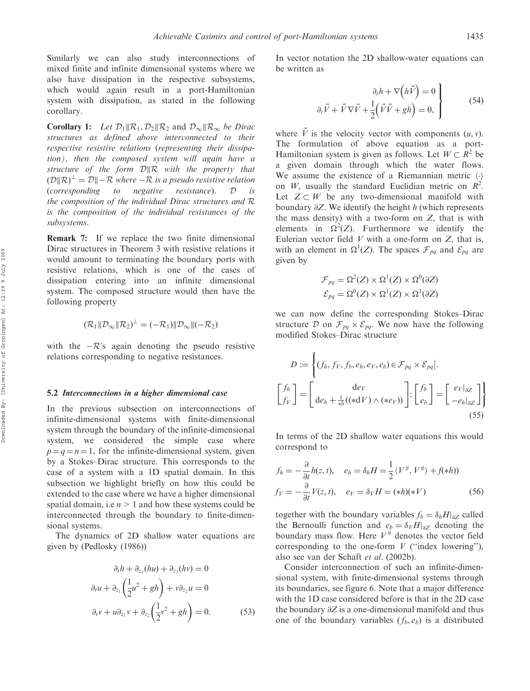Similarly we can also study interconnections of mixed finite and infinite dimensional systems where we also have dissipation in the respective subsystems, which would again result in a port-Hamiltonian system with dissipation, as stated in the following corollary.

**Corollary 1:** Let  $\mathcal{D}_1 || \mathcal{R}_1, \mathcal{D}_2 || \mathcal{R}_2$  and  $\mathcal{D}_{\infty} || \mathcal{R}_{\infty}$  be Dirac structures as defined above interconnected to their respective resistive relations (representing their dissipation), then the composed system will again have a structure of the form  $D\|R$  with the property that  $(\mathcal{D} \| \mathcal{R})^{\perp} = \mathcal{D} \| - \mathcal{R}$  where  $-\mathcal{R}$  is a pseudo resistive relation (corresponding to negative resistance). D is the composition of the individual Dirac structures and R is the composition of the individual resistances of the subsystems.

Remark 7: If we replace the two finite dimensional Dirac structures in Theorem 3 with resistive relations it would amount to terminating the boundary ports with resistive relations, which is one of the cases of dissipation entering into an infinite dimensional system. The composed structure would then have the following property

$$
(\mathcal{R}_1 \| \mathcal{D}_{\infty} \| \mathcal{R}_2)^{\perp} = (-\mathcal{R}_1) \| \mathcal{D}_{\infty} \| (-\mathcal{R}_2)
$$

with the  $-R$ 's again denoting the pseudo resistive relations corresponding to negative resistances.

#### 5.2 Interconnections in a higher dimensional case

In the previous subsection on interconnections of infinite-dimensional systems with finite-dimensional system through the boundary of the infinite-dimensional system, we considered the simple case where  $p = q = n = 1$ , for the infinite-dimensional system, given by a Stokes–Dirac structure. This corresponds to the case of a system with a 1D spatial domain. In this subsection we highlight briefly on how this could be extended to the case where we have a higher dimensional spatial domain, i.e  $n > 1$  and how these systems could be interconnected through the boundary to finite-dimensional systems.

The dynamics of 2D shallow water equations are given by (Pedlosky (1986))

$$
\partial_t h + \partial_{z_1}(h u) + \partial_{z_2}(h v) = 0
$$
  

$$
\partial_t u + \partial_{z_1}\left(\frac{1}{2}u^2 + gh\right) + v\partial_{z_2}u = 0
$$
  

$$
\partial_t v + u\partial_{z_1}v + \partial_{z_2}\left(\frac{1}{2}v^2 + gh\right) = 0.
$$
 (53)

In vector notation the 2D shallow-water equations can be written as

$$
\frac{\partial_t h + \nabla \left( h \vec{V} \right) = 0}{\partial_t \vec{V} + \vec{V} \nabla \vec{V} + \frac{1}{2} (\vec{V} \vec{V} + gh)} = 0,
$$
\n(54)

where  $\vec{V}$  is the velocity vector with components  $(u, v)$ . The formulation of above equation as a port-Hamiltonian system is given as follows. Let  $W \subset R^2$  be a given domain through which the water flows. We assume the existence of a Riemannian metric  $\langle \cdot \rangle$ on W, usually the standard Euclidian metric on  $R^2$ . Let  $Z \subset W$  be any two-dimensional manifold with boundary  $\partial Z$ . We identify the height h (which represents the mass density) with a two-form on  $Z$ , that is with elements in  $\Omega^2(Z)$ . Furthermore we identify the Eulerian vector field  $V$  with a one-form on  $Z$ , that is, with an element in  $\Omega^1(Z)$ . The spaces  $\mathcal{F}_{pq}$  and  $\mathcal{E}_{pq}$  are given by

$$
\mathcal{F}_{pq} = \Omega^2(Z) \times \Omega^1(Z) \times \Omega^0(\partial Z)
$$
  

$$
\mathcal{E}_{pq} = \Omega^0(Z) \times \Omega^1(Z) \times \Omega^1(\partial Z)
$$

we can now define the corresponding Stokes–Dirac structure D on  $\mathcal{F}_{pq} \times \mathcal{E}_{pq}$ . We now have the following modified Stokes–Dirac structure

$$
D := \left\{ (f_h, f_V, f_b, e_h, e_V, e_b) \in \mathcal{F}_{pq} \times \mathcal{E}_{pq} \right\}.
$$

$$
\begin{bmatrix} f_h \\ f_V \end{bmatrix} = \begin{bmatrix} de_V \\ de_h + \frac{1}{*h}((*dV) \wedge (*e_V)) \end{bmatrix}; \begin{bmatrix} f_b \\ e_b \end{bmatrix} = \begin{bmatrix} e_V|_{\partial Z} \\ -e_h|_{\partial Z} \end{bmatrix} \right\}
$$
(55)

In terms of the 2D shallow water equations this would correspond to

$$
f_h = -\frac{\partial}{\partial t}h(z, t), \quad e_h = \delta_h H = \frac{1}{2} \langle V^{\#}, V^{\#} \rangle + f(*h))
$$
  
\n
$$
f_V = -\frac{\partial}{\partial t}V(z, t), \quad e_V = \delta_V H = (*h)(*V)
$$
\n(56)

together with the boundary variables  $f_b = \delta_h H|_{\partial Z}$  called the Bernoulli function and  $e_b = \delta_V H|_{\partial Z}$  denoting the boundary mass flow. Here  $V^{\#}$  denotes the vector field corresponding to the one-form  $V$  ("index lowering"), also see van der Schaft et al. (2002b).

Consider interconnection of such an infinite-dimensional system, with finite-dimensional systems through its boundaries, see figure 6. Note that a major difference with the 1D case considered before is that in the 2D case the boundary  $\partial Z$  is a one-dimensional manifold and thus one of the boundary variables  $(f_b, e_b)$  is a distributed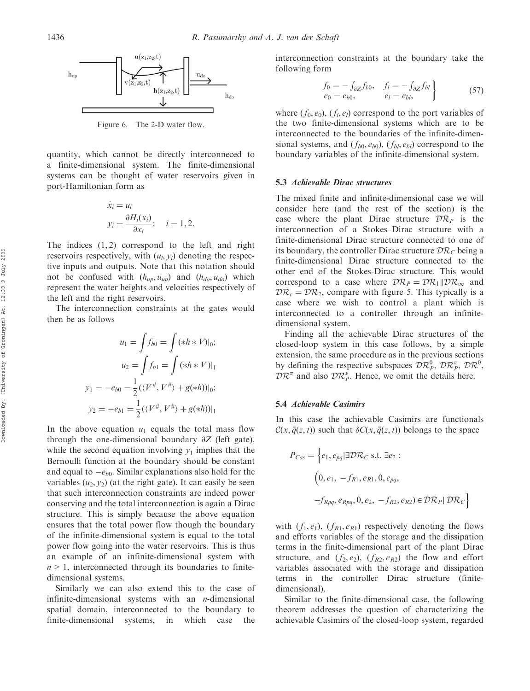

Figure 6. The 2-D water flow.

quantity, which cannot be directly interconneced to a finite-dimensional system. The finite-dimensional systems can be thought of water reservoirs given in port-Hamiltonian form as

$$
\dot{x}_i = u_i
$$
  

$$
y_i = \frac{\partial H_i(x_i)}{\partial x_i}; \quad i = 1, 2.
$$

The indices  $(1, 2)$  correspond to the left and right reservoirs respectively, with  $(u_i, y_i)$  denoting the respective inputs and outputs. Note that this notation should not be confused with  $(h_{up}, u_{up})$  and  $(h_{do}, u_{do})$  which represent the water heights and velocities respectively of the left and the right reservoirs.

The interconnection constraints at the gates would then be as follows

$$
u_1 = \int f_{b0} = \int (*h * V)|_0;
$$
  

$$
u_2 = \int f_{b1} = \int (*h * V)|_1
$$
  

$$
y_1 = -e_{b0} = \frac{1}{2}(\langle V^{\#}, V^{\#} \rangle + g(*h))|_0;
$$
  

$$
y_2 = -e_{b1} = \frac{1}{2}(\langle V^{\#}, V^{\#} \rangle + g(*h))|_1
$$

In the above equation  $u_1$  equals the total mass flow through the one-dimensional boundary  $\partial Z$  (left gate), while the second equation involving  $y_1$  implies that the Bernoulli function at the boundary should be constant and equal to  $-e_{b0}$ . Similar explanations also hold for the variables  $(u_2, y_2)$  (at the right gate). It can easily be seen that such interconnection constraints are indeed power conserving and the total interconnection is again a Dirac structure. This is simply because the above equation ensures that the total power flow though the boundary of the infinite-dimensional system is equal to the total power flow going into the water reservoirs. This is thus an example of an infinite-dimensional system with  $n > 1$ , interconnected through its boundaries to finitedimensional systems.

Similarly we can also extend this to the case of infinite-dimensional systems with an  $n$ -dimensional spatial domain, interconnected to the boundary to finite-dimensional systems, in which case the

interconnection constraints at the boundary take the following form

$$
\begin{aligned}\nf_0 &= -\int_{\partial Z} f_{b0}, & f_l &= -\int_{\partial Z} f_{bl} \\
e_0 &= e_{b0}, & e_l &= e_{bl},\n\end{aligned} \tag{57}
$$

where  $(f_0, e_0)$ ,  $(f_l, e_l)$  correspond to the port variables of the two finite-dimensional systems which are to be interconnected to the boundaries of the infinite-dimensional systems, and  $(f_{b0}, e_{b0})$ ,  $(f_{b1}, e_{b1})$  correspond to the boundary variables of the infinite-dimensional system.

#### 5.3 Achievable Dirac structures

The mixed finite and infinite-dimensional case we will consider here (and the rest of the section) is the case where the plant Dirac structure  $\mathcal{DR}_P$  is the interconnection of a Stokes–Dirac structure with a finite-dimensional Dirac structure connected to one of its boundary, the controller Dirac structure  $\mathcal{DR}_C$  being a finite-dimensional Dirac structure connected to the other end of the Stokes-Dirac structure. This would correspond to a case where  $\mathcal{DR}_P = \mathcal{DR}_1 || \mathcal{DR}_\infty$  and  $\mathcal{DR}_c = \mathcal{DR}_2$ , compare with figure 5. This typically is a case where we wish to control a plant which is interconnected to a controller through an infinitedimensional system.

Finding all the achievable Dirac structures of the closed-loop system in this case follows, by a simple extension, the same procedure as in the previous sections by defining the respective subspaces  $\mathcal{DR}_P^0$ ,  $\mathcal{DR}_P^{\pi}$ ,  $\mathcal{DR}^0$ ,  $\mathcal{D} \mathcal{R}^{\pi}$  and also  $\mathcal{D} \mathcal{R}^*_{P}$ . Hence, we omit the details here.

#### 5.4 Achievable Casimirs

In this case the achievable Casimirs are functionals  $\mathcal{C}(x, \bar{q}(z, t))$  such that  $\delta C(x, \bar{q}(z, t))$  belongs to the space

$$
P_{Cas} = \{e_1, e_{pq} | \exists \mathcal{D} \mathcal{R}_C \text{ s.t. } \exists e_2 : \\
(0, e_1, -f_{R1}, e_{R1}, 0, e_{pq}, \\
-f_{Rpq}, e_{Rpq}, 0, e_2, -f_{R2}, e_{R2}) \in \mathcal{D} \mathcal{R}_P \|\mathcal{D} \mathcal{R}_C\}
$$

with  $(f_1, e_1)$ ,  $(f_{R1}, e_{R1})$  respectively denoting the flows and efforts variables of the storage and the dissipation terms in the finite-dimensional part of the plant Dirac structure, and  $(f_2, e_2)$ ,  $(f_{R2}, e_{R2})$  the flow and effort variables associated with the storage and dissipation terms in the controller Dirac structure (finitedimensional).

Similar to the finite-dimensional case, the following theorem addresses the question of characterizing the achievable Casimirs of the closed-loop system, regarded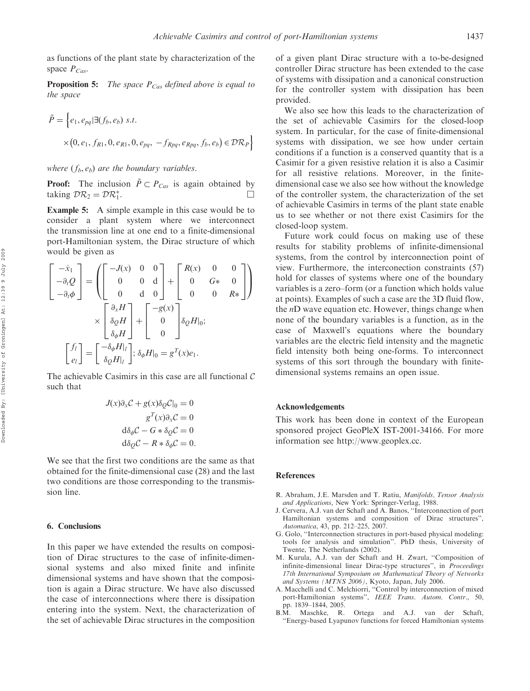as functions of the plant state by characterization of the space  $P_{Cas.}$ 

**Proposition 5:** The space  $P_{Cas}$  defined above is equal to the space

$$
\tilde{P} = \left\{ e_1, e_{pq} | \exists (f_b, e_b) \ s.t. \right. \\
 \times (0, e_1, f_{R1}, 0, e_{R1}, 0, e_{pq}, -f_{Rpq}, e_{Rpq}, f_b, e_b) \in \mathcal{DR}_P \right\}
$$

where  $(f_b, e_b)$  are the boundary variables.

**Proof:** The inclusion  $\tilde{P} \subset P_{Cas}$  is again obtained by taking  $\mathcal{DR}_2 = \mathcal{DR}_1^*$ .  $\Box$ 

Example 5: A simple example in this case would be to consider a plant system where we interconnect the transmission line at one end to a finite-dimensional port-Hamiltonian system, the Dirac structure of which would be given as

$$
\begin{bmatrix} -\dot{x}_1 \\ -\partial_t Q \\ -\partial_t \phi \end{bmatrix} = \left( \begin{bmatrix} -J(x) & 0 & 0 \\ 0 & 0 & d \\ 0 & d & 0 \end{bmatrix} + \begin{bmatrix} R(x) & 0 & 0 \\ 0 & G* & 0 \\ 0 & 0 & R* \end{bmatrix} \right)
$$

$$
\times \begin{bmatrix} \partial_x H \\ \delta_Q H \\ \delta_\phi H \end{bmatrix} + \begin{bmatrix} -g(x) \\ 0 \\ 0 \end{bmatrix} \delta_Q H|_0;
$$

$$
\begin{bmatrix} f_l \\ e_l \end{bmatrix} = \begin{bmatrix} -\delta_\phi H|_l \\ \delta_Q H|_l \end{bmatrix}; \delta_\phi H|_0 = g^T(x)e_1.
$$

The achievable Casimirs in this case are all functional  $\mathcal C$ such that

$$
J(x)\partial_x C + g(x)\delta_Q C|_0 = 0
$$
  
\n
$$
g^T(x)\partial_x C = 0
$$
  
\n
$$
d\delta_{\phi} C - G * \delta_Q C = 0
$$
  
\n
$$
d\delta_Q C - R * \delta_{\phi} C = 0.
$$

We see that the first two conditions are the same as that obtained for the finite-dimensional case (28) and the last two conditions are those corresponding to the transmission line.

## 6. Conclusions

In this paper we have extended the results on composition of Dirac structures to the case of infinite-dimensional systems and also mixed finite and infinite dimensional systems and have shown that the composition is again a Dirac structure. We have also discussed the case of interconnections where there is dissipation entering into the system. Next, the characterization of the set of achievable Dirac structures in the composition

of a given plant Dirac structure with a to-be-designed controller Dirac structure has been extended to the case of systems with dissipation and a canonical construction for the controller system with dissipation has been provided.

We also see how this leads to the characterization of the set of achievable Casimirs for the closed-loop system. In particular, for the case of finite-dimensional systems with dissipation, we see how under certain conditions if a function is a conserved quantity that is a Casimir for a given resistive relation it is also a Casimir for all resistive relations. Moreover, in the finitedimensional case we also see how without the knowledge of the controller system, the characterization of the set of achievable Casimirs in terms of the plant state enable us to see whether or not there exist Casimirs for the closed-loop system.

Future work could focus on making use of these results for stability problems of infinite-dimensional systems, from the control by interconnection point of view. Furthermore, the interconection constraints (57) hold for classes of systems where one of the boundary variables is a zero–form (or a function which holds value at points). Examples of such a case are the 3D fluid flow, the  $nD$  wave equation etc. However, things change when none of the boundary variables is a function, as in the case of Maxwell's equations where the boundary variables are the electric field intensity and the magnetic field intensity both being one-forms. To interconnect systems of this sort through the boundary with finitedimensional systems remains an open issue.

#### Acknowledgements

This work has been done in context of the European sponsored project GeoPleX IST-2001-34166. For more information see http://www.geoplex.cc.

#### References

- R. Abraham, J.E. Marsden and T. Ratiu, Manifolds, Tensor Analysis and Applications, New York: Springer-Verlag, 1988.
- J. Cervera, A.J. van der Schaft and A. Banos, ''Interconnection of port Hamiltonian systems and composition of Dirac structures'', Automatica, 43, pp. 212–225, 2007.
- G. Golo, ''Interconnection structures in port-based physical modeling: tools for analysis and simulation''. PhD thesis, University of Twente, The Netherlands (2002).
- M. Kurula, A.J. van der Schaft and H. Zwart, ''Composition of infinite-dimensional linear Dirac-type structures'', in Proceedings 17th International Symposium on Mathematical Theory of Networks and Systems (MTNS 2006), Kyoto, Japan, July 2006.
- A. Macchelli and C. Melchiorri, ''Control by interconnection of mixed port-Hamiltonian systems", IEEE Trans. Autom. Contr., 50, pp. 1839–1844, 2005.<br>B.M. Maschke, R.
- Ortega and A.J. van der Schaft, ''Energy-based Lyapunov functions for forced Hamiltonian systems